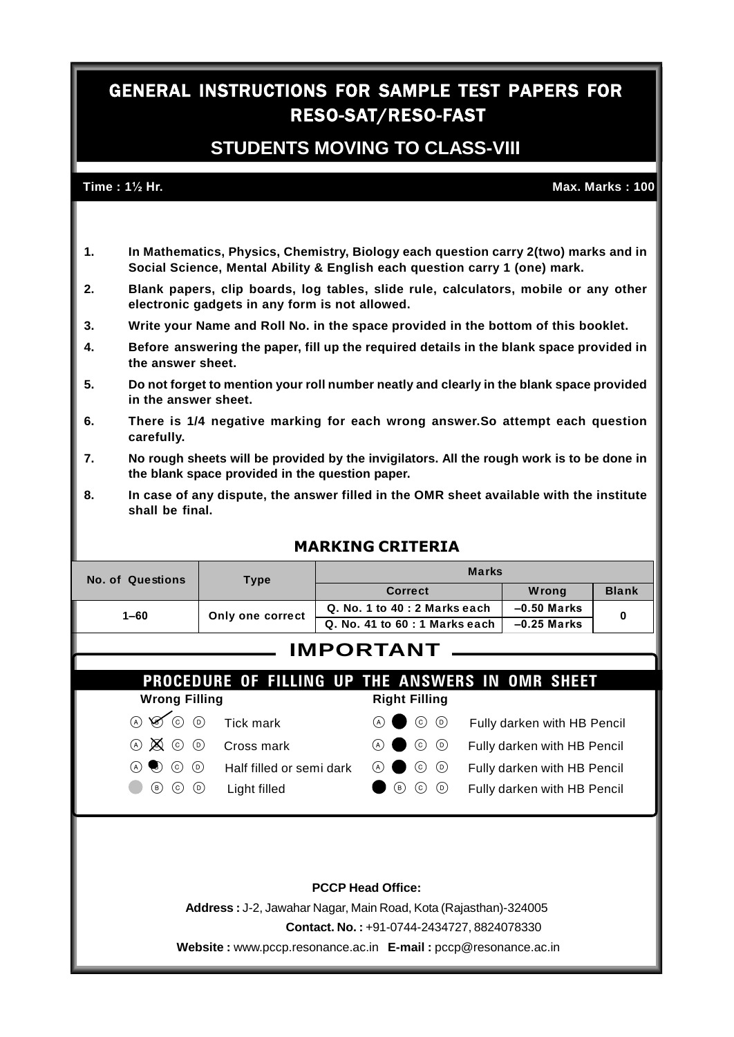## **GENERAL INSTRUCTIONS FOR SAMPLE TEST PAPERS FOR RESO-SAT/RESO-FAST**

## **STUDENTS MOVING TO CLASS-VIII Time** : 1½ Hr.<br>Time : 1½ Hr. **Max.** Max. Marks : 100

- **1. In Mathematics, Physics, Chemistry, Biology each question carry 2(two) marks and in Social Science, Mental Ability & English each question carry 1 (one) mark.**
- **2. Blank papers, clip boards, log tables, slide rule, calculators, mobile or any other electronic gadgets in any form is not allowed.**
- **3. Write your Name and Roll No. in the space provided in the bottom of this booklet.**
- **4. Before answering the paper, fill up the required details in the blank space provided in the answer sheet.**
- **5. Do not forget to mention your roll number neatly and clearly in the blank space provided in the answer sheet.**
- **6. There is 1/4 negative marking for each wrong answer.So attempt each question carefully.**
- 7. No rough sheets will be provided by the invigilators. All the rough work is to be done in **the blank space provided in the question paper.**
- **8. In case of any dispute, the answer filled in the OMR sheet available with the institute shall be final.**

| No. of Questions                                  | <b>Type</b>                                             | <b>Marks</b>                     |                           |               |                             |              |  |  |
|---------------------------------------------------|---------------------------------------------------------|----------------------------------|---------------------------|---------------|-----------------------------|--------------|--|--|
|                                                   |                                                         |                                  | <b>Correct</b>            |               | Wrong                       | <b>Blank</b> |  |  |
| $1 - 60$                                          | Q. No. 1 to 40 : 2 Marks each                           |                                  |                           | $-0.50$ Marks | 0                           |              |  |  |
|                                                   | Only one correct                                        | $Q.$ No. 41 to $60:1$ Marks each |                           |               | $-0.25$ Marks               |              |  |  |
|                                                   |                                                         | <b>IMPORTANT</b>                 |                           |               |                             |              |  |  |
|                                                   |                                                         |                                  |                           |               |                             |              |  |  |
|                                                   |                                                         |                                  |                           |               |                             |              |  |  |
|                                                   | <b>PROCEDURE OF FILLING UP THE ANSWERS IN OMR SHEET</b> |                                  |                           |               |                             |              |  |  |
| <b>Wrong Filling</b>                              |                                                         |                                  | <b>Right Filling</b>      |               |                             |              |  |  |
| $\circ$<br>$\otimes$<br>$\odot$                   | Tick mark                                               | (A)                              | $\odot$<br>$\odot$        |               | Fully darken with HB Pencil |              |  |  |
| $\otimes$<br>$\odot$<br>(A)                       | Cross mark                                              | (A)                              | $\circ$<br>$\circledcirc$ |               | Fully darken with HB Pencil |              |  |  |
| (c)<br>$(\circ)$<br>(A)<br>$\left( \cdot \right)$ | Half filled or semi dark                                | (A)                              | $(\mathsf{D})$<br>(c)     |               | Fully darken with HB Pencil |              |  |  |

## **MARKING CRITERIA**

### **PCCP Head Office:**

**Address :** J-2, Jawahar Nagar, Main Road, Kota (Rajasthan)-324005

**Contact. No. :** +91-0744-2434727, 8824078330

**Website :** [www.pccp.resonance.ac.in](http://www.pccp.resonance.ac.in) **E-mail :** pccp@resonance.ac.in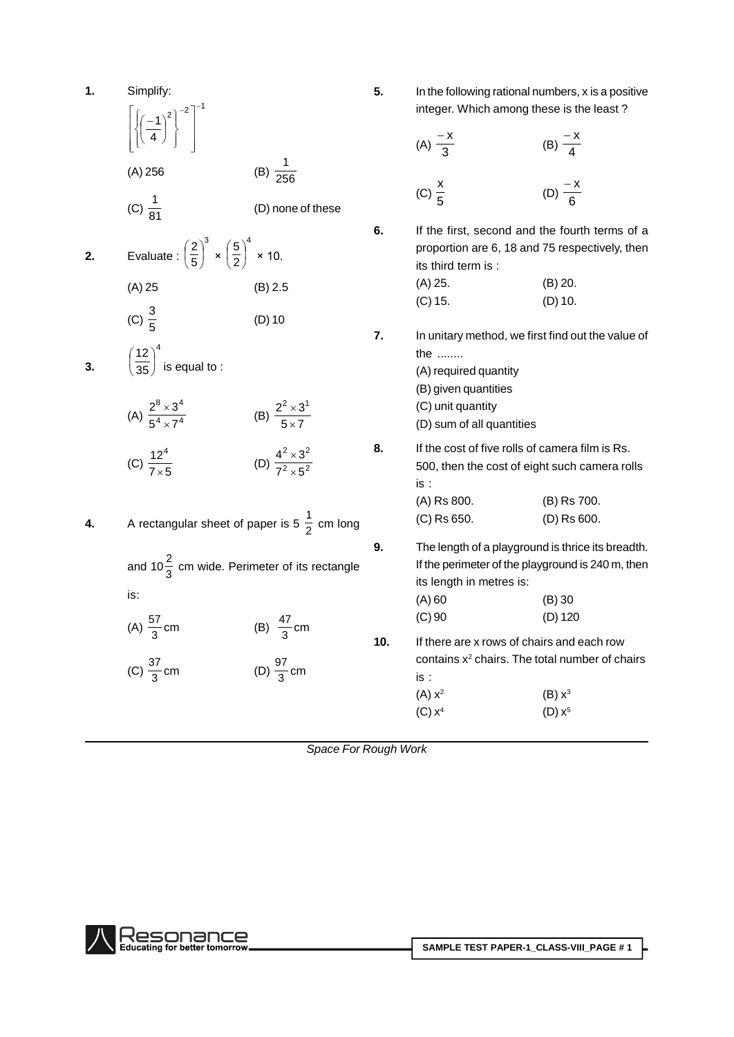| 1. | Simplify:                                                                             |                                             | 5.  | In the following rational numbers, x is a positive<br>integer. Which among these is the least?                                     |                            |
|----|---------------------------------------------------------------------------------------|---------------------------------------------|-----|------------------------------------------------------------------------------------------------------------------------------------|----------------------------|
|    | $\left\{\left(\frac{-1}{4}\right)^2\right\}^{-2}$                                     |                                             |     | (A) $\frac{-x}{3}$                                                                                                                 | (B) $\frac{-x}{4}$         |
|    | (A) 256                                                                               | (B) $\frac{1}{256}$                         |     |                                                                                                                                    |                            |
|    | (C) $\frac{1}{81}$                                                                    | (D) none of these                           |     | (C) $\frac{x}{5}$                                                                                                                  | (D) $\frac{-x}{6}$         |
| 2. | Evaluate : $\left(\frac{2}{5}\right)^3 \times \left(\frac{5}{2}\right)^4 \times 10$ . |                                             | 6.  | If the first, second and the fourth terms of a<br>proportion are 6, 18 and 75 respectively, then<br>its third term is:             |                            |
|    | $(A)$ 25                                                                              | (B) 2.5                                     |     | $(A)$ 25.<br>$(C)$ 15.                                                                                                             | $(B)$ 20.<br>$(D)$ 10.     |
|    | (C) $\frac{3}{5}$                                                                     | $(D)$ 10                                    |     |                                                                                                                                    |                            |
| 3. | $\left(\frac{12}{35}\right)^4$ is equal to :                                          |                                             | 7.  | In unitary method, we first find out the value of<br>the<br>(A) required quantity<br>(B) given quantities                          |                            |
|    | (A) $\frac{2^8 \times 3^4}{5^4 \times 7^4}$                                           | (B) $\frac{2^2 \times 3^1}{5 \times 7}$     |     | (C) unit quantity<br>(D) sum of all quantities                                                                                     |                            |
|    | (C) $\frac{12^4}{7 \times 5}$                                                         | (D) $\frac{4^2 \times 3^2}{7^2 \times 5^2}$ | 8.  | If the cost of five rolls of camera film is Rs.<br>500, then the cost of eight such camera rolls<br>is:                            |                            |
| 4. | A rectangular sheet of paper is 5 $\frac{1}{2}$ cm long                               |                                             |     | (A) Rs 800.<br>(C) Rs 650.                                                                                                         | (B) Rs 700.<br>(D) Rs 600. |
|    | and 10 $\frac{2}{3}$ cm wide. Perimeter of its rectangle                              |                                             | 9.  | The length of a playground is thrice its breadth.<br>If the perimeter of the playground is 240 m, then<br>its length in metres is: |                            |
|    | is:                                                                                   |                                             |     | $(A)$ 60                                                                                                                           | (B) 30                     |
|    | (A) $\frac{57}{3}$ cm                                                                 | (B) $\frac{47}{3}$ cm                       |     | $(C)$ 90                                                                                                                           | $(D)$ 120                  |
|    |                                                                                       |                                             | 10. | If there are x rows of chairs and each row                                                                                         |                            |
|    | (C) $\frac{37}{3}$ cm                                                                 | (D) $\frac{97}{3}$ cm                       |     | contains x <sup>2</sup> chairs. The total number of chairs<br>is:                                                                  |                            |
|    |                                                                                       |                                             |     | (A) x <sup>2</sup>                                                                                                                 | (B) x <sup>3</sup>         |
|    |                                                                                       |                                             |     | (C) x <sup>4</sup>                                                                                                                 | $(D) x^5$                  |

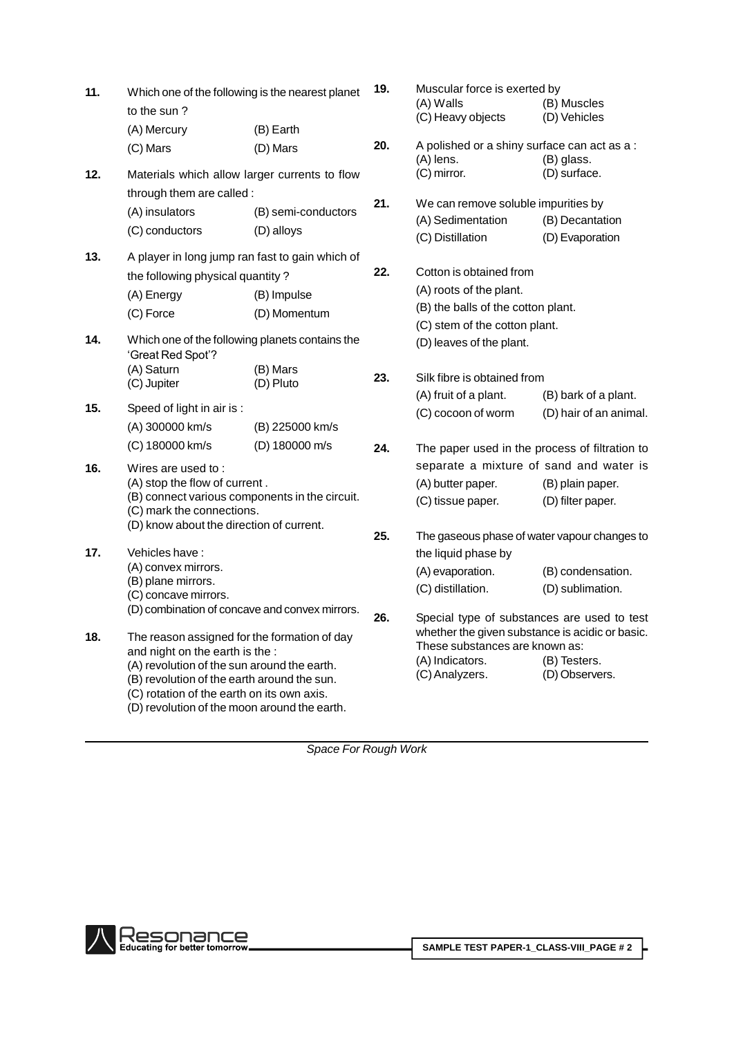| 11. | Which one of the following is the nearest planet<br>to the sun?                                                                                                                          |                     | 19. | Muscular force is exerted by<br>(A) Walls<br>(C) Heavy objects                                                                                      | (B) Muscles<br>(D) Vehicles        |
|-----|------------------------------------------------------------------------------------------------------------------------------------------------------------------------------------------|---------------------|-----|-----------------------------------------------------------------------------------------------------------------------------------------------------|------------------------------------|
|     | (A) Mercury                                                                                                                                                                              | (B) Earth           |     |                                                                                                                                                     |                                    |
|     | (C) Mars                                                                                                                                                                                 | (D) Mars            | 20. | A polished or a shiny surface can act as a:<br>(A) lens.                                                                                            | (B) glass.                         |
| 12. | Materials which allow larger currents to flow                                                                                                                                            |                     |     | (C) mirror.                                                                                                                                         | (D) surface.                       |
|     | through them are called :                                                                                                                                                                |                     |     |                                                                                                                                                     |                                    |
|     | (A) insulators                                                                                                                                                                           | (B) semi-conductors | 21. | We can remove soluble impurities by                                                                                                                 |                                    |
|     | (C) conductors                                                                                                                                                                           | (D) alloys          |     | (A) Sedimentation<br>(C) Distillation                                                                                                               | (B) Decantation<br>(D) Evaporation |
| 13. | A player in long jump ran fast to gain which of                                                                                                                                          |                     |     |                                                                                                                                                     |                                    |
|     | the following physical quantity?                                                                                                                                                         |                     | 22. | Cotton is obtained from                                                                                                                             |                                    |
|     | (A) Energy                                                                                                                                                                               | (B) Impulse         |     | (A) roots of the plant.                                                                                                                             |                                    |
|     | (C) Force                                                                                                                                                                                | (D) Momentum        |     | (B) the balls of the cotton plant.                                                                                                                  |                                    |
|     |                                                                                                                                                                                          |                     |     | (C) stem of the cotton plant.                                                                                                                       |                                    |
| 14. | Which one of the following planets contains the<br>'Great Red Spot'?                                                                                                                     |                     |     | (D) leaves of the plant.                                                                                                                            |                                    |
|     | (A) Saturn                                                                                                                                                                               | (B) Mars            | 23. | Silk fibre is obtained from                                                                                                                         |                                    |
|     | (C) Jupiter                                                                                                                                                                              | (D) Pluto           |     | (A) fruit of a plant.                                                                                                                               | (B) bark of a plant.               |
| 15. | Speed of light in air is :                                                                                                                                                               |                     |     | (C) cocoon of worm                                                                                                                                  | (D) hair of an animal.             |
|     | (A) 300000 km/s                                                                                                                                                                          | (B) 225000 km/s     |     |                                                                                                                                                     |                                    |
|     | (C) 180000 km/s                                                                                                                                                                          | (D) 180000 m/s      | 24. | The paper used in the process of filtration to                                                                                                      |                                    |
| 16. | Wires are used to:                                                                                                                                                                       |                     |     | separate a mixture of sand and water is                                                                                                             |                                    |
|     | (A) stop the flow of current.                                                                                                                                                            |                     |     | (A) butter paper.                                                                                                                                   | (B) plain paper.                   |
|     | (B) connect various components in the circuit.<br>(C) mark the connections.                                                                                                              |                     |     | (C) tissue paper.                                                                                                                                   | (D) filter paper.                  |
|     | (D) know about the direction of current.                                                                                                                                                 |                     |     |                                                                                                                                                     |                                    |
|     |                                                                                                                                                                                          |                     | 25. | The gaseous phase of water vapour changes to                                                                                                        |                                    |
| 17. | Vehicles have:                                                                                                                                                                           |                     |     | the liquid phase by                                                                                                                                 |                                    |
|     | (A) convex mirrors.<br>(B) plane mirrors.                                                                                                                                                |                     |     | (A) evaporation.                                                                                                                                    | (B) condensation.                  |
|     | (C) concave mirrors.                                                                                                                                                                     |                     |     | (C) distillation.                                                                                                                                   | (D) sublimation.                   |
|     | (D) combination of concave and convex mirrors.                                                                                                                                           |                     | 26. |                                                                                                                                                     |                                    |
| 18. | The reason assigned for the formation of day<br>and night on the earth is the :                                                                                                          |                     |     | Special type of substances are used to test<br>whether the given substance is acidic or basic.<br>These substances are known as:<br>(A) Indicators. | (B) Testers.                       |
|     | (A) revolution of the sun around the earth.<br>(B) revolution of the earth around the sun.<br>(C) rotation of the earth on its own axis.<br>(D) revolution of the moon around the earth. |                     |     | (C) Analyzers.                                                                                                                                      | (D) Observers.                     |

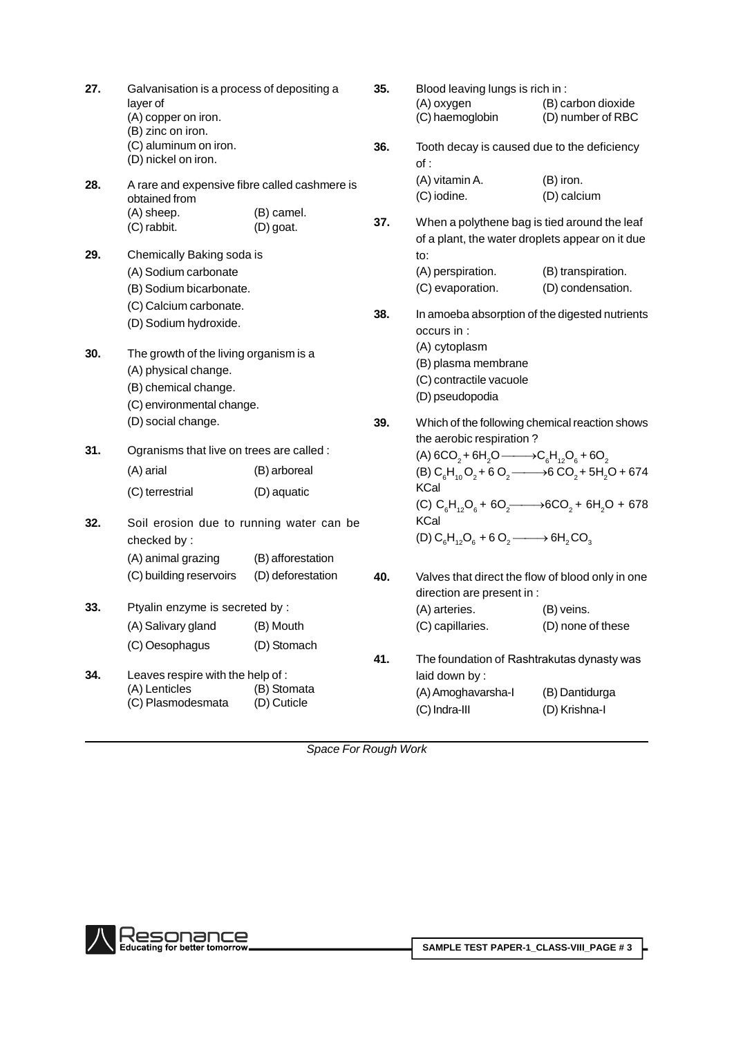| 27. | Galvanisation is a process of depositing a<br>layer of<br>(A) copper on iron.<br>(B) zinc on iron. |                         | 35. | Blood leaving lungs is rich in :<br>(A) oxygen<br>(C) haemoglobin                               | (B) carbon dioxide<br>(D) number of RBC |
|-----|----------------------------------------------------------------------------------------------------|-------------------------|-----|-------------------------------------------------------------------------------------------------|-----------------------------------------|
|     | (C) aluminum on iron.<br>(D) nickel on iron.                                                       |                         | 36. | Tooth decay is caused due to the deficiency<br>of:                                              |                                         |
| 28. | A rare and expensive fibre called cashmere is<br>obtained from                                     |                         |     | (A) vitamin A.<br>(C) iodine.                                                                   | (B) iron.<br>(D) calcium                |
|     | (A) sheep.<br>(C) rabbit.                                                                          | (B) camel.<br>(D) goat. | 37. | When a polythene bag is tied around the leaf<br>of a plant, the water droplets appear on it due |                                         |
| 29. | Chemically Baking soda is                                                                          |                         |     | to:                                                                                             |                                         |
|     | (A) Sodium carbonate                                                                               |                         |     | (A) perspiration.                                                                               | (B) transpiration.                      |
|     | (B) Sodium bicarbonate.                                                                            |                         |     | (C) evaporation.                                                                                | (D) condensation.                       |
|     | (C) Calcium carbonate.<br>(D) Sodium hydroxide.                                                    |                         | 38. | In amoeba absorption of the digested nutrients<br>occurs in :                                   |                                         |
| 30. | The growth of the living organism is a                                                             |                         |     | (A) cytoplasm                                                                                   |                                         |
|     | (A) physical change.                                                                               |                         |     | (B) plasma membrane                                                                             |                                         |
|     | (B) chemical change.                                                                               |                         |     | (C) contractile vacuole                                                                         |                                         |
|     | (C) environmental change.                                                                          |                         |     | (D) pseudopodia                                                                                 |                                         |
|     | (D) social change.                                                                                 |                         | 39. | Which of the following chemical reaction shows<br>the aerobic respiration?                      |                                         |
| 31. | Ogranisms that live on trees are called :                                                          |                         |     | (A) $6CO_2 + 6H_2O \longrightarrow C_6H_{12}O_6 + 6O_2$                                         |                                         |
|     | (A) arial                                                                                          | (B) arboreal            |     | $(B) C6H10O2 + 6 O2$ $\longrightarrow$ 6 CO <sub>2</sub> + 5H <sub>2</sub> O + 674              |                                         |
|     | (C) terrestrial                                                                                    | (D) aquatic             |     | <b>KCal</b>                                                                                     |                                         |
|     |                                                                                                    |                         |     | (C) $C_6H_{12}O_6 + 6O_7$ + 6CO <sub>2</sub> + 6H <sub>2</sub> O + 678                          |                                         |
| 32. | Soil erosion due to running water can be                                                           |                         |     | <b>KCal</b>                                                                                     |                                         |
|     | checked by:                                                                                        |                         |     | $(D) C6H12O6 + 6 O2$ $\longrightarrow$ 6H <sub>2</sub> CO <sub>3</sub>                          |                                         |
|     | (A) animal grazing                                                                                 | (B) afforestation       |     |                                                                                                 |                                         |
|     | (C) building reservoirs                                                                            | (D) deforestation       | 40. | Valves that direct the flow of blood only in one<br>direction are present in :                  |                                         |
| 33. | Ptyalin enzyme is secreted by :                                                                    |                         |     | (A) arteries.                                                                                   | (B) veins.                              |
|     | (A) Salivary gland                                                                                 | (B) Mouth               |     | (C) capillaries.                                                                                | (D) none of these                       |
|     | (C) Oesophagus                                                                                     | (D) Stomach             |     |                                                                                                 |                                         |
|     |                                                                                                    |                         | 41. | The foundation of Rashtrakutas dynasty was                                                      |                                         |
| 34. | Leaves respire with the help of :<br>(A) Lenticles                                                 | (B) Stomata             |     | laid down by:                                                                                   |                                         |
|     | (C) Plasmodesmata                                                                                  | (D) Cuticle             |     | (A) Amoghavarsha-l                                                                              | (B) Dantidurga                          |
|     |                                                                                                    |                         |     | (C) Indra-III                                                                                   | (D) Krishna-I                           |
|     |                                                                                                    |                         |     |                                                                                                 |                                         |

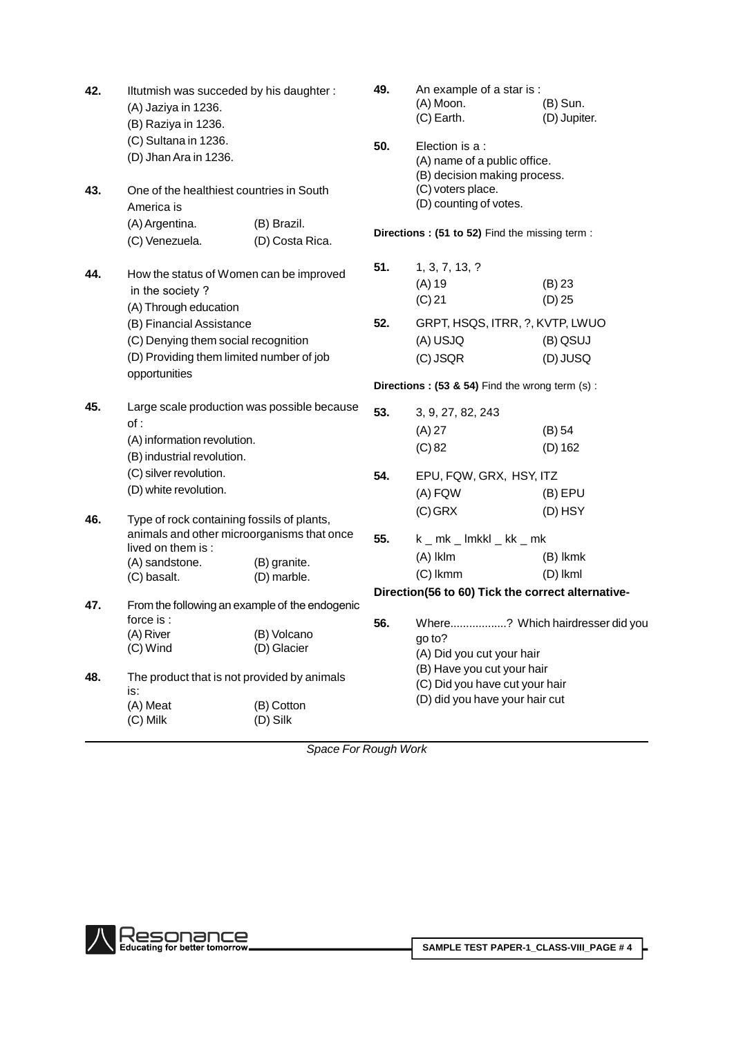| 42. | Iltutmish was succeded by his daughter:<br>(A) Jaziya in 1236.<br>(B) Raziya in 1236.<br>(C) Sultana in 1236.<br>(D) Jhan Ara in 1236.                                                                              |                             | 49.<br>50.                                     | An example of a star is :<br>(A) Moon.<br>(C) Earth.<br>Election is a :<br>(A) name of a public office.<br>(B) decision making process. | $(B)$ Sun.<br>(D) Jupiter.                 |  |  |
|-----|---------------------------------------------------------------------------------------------------------------------------------------------------------------------------------------------------------------------|-----------------------------|------------------------------------------------|-----------------------------------------------------------------------------------------------------------------------------------------|--------------------------------------------|--|--|
| 43. | One of the healthiest countries in South<br>America is<br>(A) Argentina.                                                                                                                                            | (B) Brazil.                 |                                                | (C) voters place.<br>(D) counting of votes.                                                                                             |                                            |  |  |
|     | (C) Venezuela.                                                                                                                                                                                                      | (D) Costa Rica.             |                                                | Directions: (51 to 52) Find the missing term:                                                                                           |                                            |  |  |
| 44. | How the status of Women can be improved<br>in the society?<br>(A) Through education<br>(B) Financial Assistance<br>(C) Denying them social recognition<br>(D) Providing them limited number of job<br>opportunities |                             |                                                | 1, 3, 7, 13, ?<br>$(A)$ 19<br>(C) 21<br>GRPT, HSQS, ITRR, ?, KVTP, LWUO<br>(A) USJQ<br>(C) JSQR                                         | (B) 23<br>$(D)$ 25<br>(B) QSUJ<br>(D) JUSQ |  |  |
|     |                                                                                                                                                                                                                     |                             | Directions: (53 & 54) Find the wrong term (s): |                                                                                                                                         |                                            |  |  |
| 45. | Large scale production was possible because<br>of:<br>(A) information revolution.<br>(B) industrial revolution.<br>(C) silver revolution.                                                                           |                             | 53.<br>54.                                     | 3, 9, 27, 82, 243<br>$(A)$ 27<br>(C) 82<br>EPU, FQW, GRX, HSY, ITZ                                                                      | $(B)$ 54<br>$(D)$ 162                      |  |  |
|     | (D) white revolution.                                                                                                                                                                                               |                             |                                                | (A) FQW                                                                                                                                 | $(B)$ EPU                                  |  |  |
| 46. | Type of rock containing fossils of plants,<br>animals and other microorganisms that once<br>lived on them is:<br>(A) sandstone.<br>(C) basalt.                                                                      | (B) granite.<br>(D) marble. | 55.                                            | $(C)$ GRX<br>$k$ $\_$ mk $\_$ lmkkl $\_$ kk $\_$ mk<br>(A) Iklm<br>$(C)$ lkmm                                                           | (D) HSY<br>(B) lkmk<br>(D) lkml            |  |  |
| 47. | From the following an example of the endogenic                                                                                                                                                                      |                             |                                                | Direction(56 to 60) Tick the correct alternative-                                                                                       |                                            |  |  |
|     | force is:<br>(A) River<br>(C) Wind                                                                                                                                                                                  | (B) Volcano<br>(D) Glacier  | 56.                                            | Where? Which hairdresser did you<br>go to?<br>(A) Did you cut your hair                                                                 |                                            |  |  |
| 48. | The product that is not provided by animals<br>is:<br>(A) Meat<br>(C) Milk                                                                                                                                          | (B) Cotton<br>(D) Silk      |                                                | (B) Have you cut your hair<br>(C) Did you have cut your hair<br>(D) did you have your hair cut                                          |                                            |  |  |

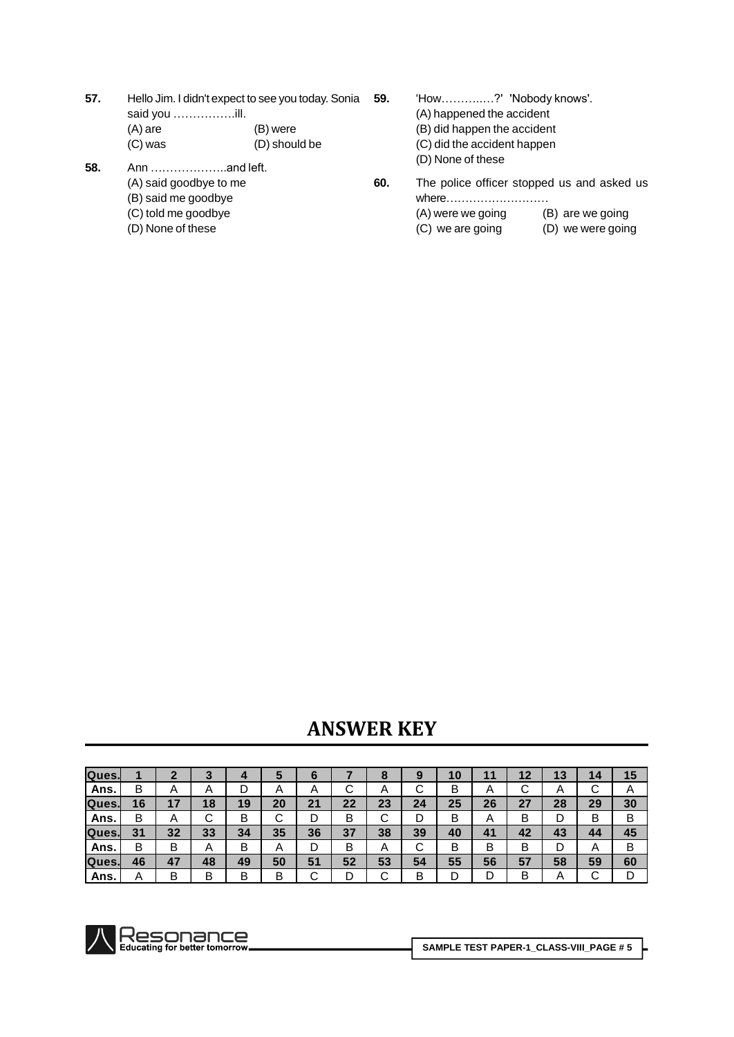- **57.** Hello Jim. I didn't expect to see you today. Sonia **59.** .<br>Hello Jim. I didn't expect to se<br>said you ……………..ill.
	- (A) are (B) were (C) was (D) should be
		-
- **58.** Ann ÖÖÖÖÖÖ..and left.
	- (A) said goodbye to me
	- (B) said me goodbye (C) told me goodbye
	- (D) None of these
- 'How..............?' 'Nobody knows'.
- (A) happened the accident
- (B) did happen the accident
- (C) did the accident happen
- (D) None of these
- **60.** The police officer stopped us and asked us whereÖÖÖÖÖÖÖÖÖ
	- (A) were we going (B) are we going
	- (C) we are going (D) we were going

**KEY**

| Ques. |    | ◠              | ∽<br>w |    | ю      | O                 |        | О                         |    | 10 |        | 12 | 13 | 14           | 15     |
|-------|----|----------------|--------|----|--------|-------------------|--------|---------------------------|----|----|--------|----|----|--------------|--------|
| Ans.  | B  | $\overline{A}$ | A      |    | A      | $\mathsf{\Gamma}$ | ⌒<br>ັ | $\boldsymbol{\mathsf{A}}$ | ັ  | В  | A      | ັ  | A  | ⌒<br>ັ       | A      |
| Ques. | 16 | 17             | 18     | 19 | 20     | 21                | 22     | 23                        | 24 | 25 | 26     | 27 | 28 | 29           | 30     |
| Ans.  | B  | A              | ⌒<br>ັ | B  | ⌒<br>ັ | D                 | B      | ⌒<br>ັ                    |    | в  | A      | в  | D  | B            | В      |
| Ques. | 31 | 32             | 33     | 34 | 35     | 36                | 37     | 38                        | 39 | 40 | 41     | 42 | 43 | 44           | 45     |
| Ans.  | B  | B              | A      | B  | A      | D                 | B      | $\mathsf{A}$              | ັ  | B  | B      | B  | D  | $\mathsf{A}$ | В      |
| Ques. | 46 | 47             | 48     | 49 | 50     | 51                | 52     | 53                        | 54 | 55 | 56     | 57 | 58 | 59           | 60     |
| Ans.  | Α  | B              | B      | В  | B      | ⌒<br>ັ            | D      | ⌒<br>ັ                    | B  |    | n<br>◡ | в  | Α  | ⌒<br>ັ       | n<br>◡ |

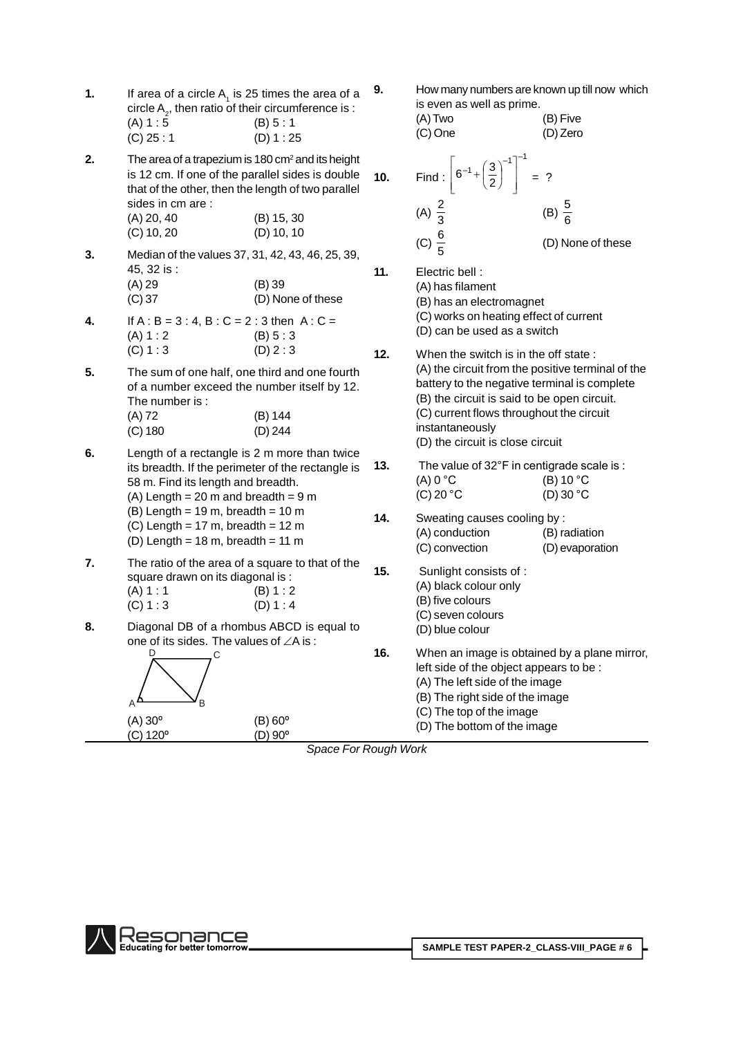| 1. |              | If area of a circle $A_1$ is 25 times the area of a     |  |
|----|--------------|---------------------------------------------------------|--|
|    |              | circle $A_{2}$ , then ratio of their circumference is : |  |
|    | (A) 1:5      | (B) 5:1                                                 |  |
|    | $(C)$ 25 : 1 | (D) 1: 25                                               |  |

**2.** The area of a trapezium is 180 cm<sup>2</sup> and its height is 12 cm. If one of the parallel sides is double that of the other, then the length of two parallel sides in cm are :

| $(A)$ 20, 40 | (B) 15, 30   |
|--------------|--------------|
| $(C)$ 10, 20 | $(D)$ 10, 10 |

- **3.** Median of the values 37,31, 42, 43, 46, 25, 39, 45, 32 is : (A) 29 (B) 39 (C) 37 (D) None of these
- **4.** If  $A : B = 3 : 4, B : C = 2 : 3$  then  $A : C =$  $(A) 1 : 2$  (B)  $5 : 3$  $(C) 1 : 3$   $(D) 2 : 3$
- **5.** The sum of one half, one third and one fourth of a number exceed the number itself by 12.<br>The number is : (A) 72 (B) 144 (C) 180 (D) 244
- **6.** Length of a rectangle is 2 m more than twice its breadth. If the perimeter of the rectangle is **13.** 58 m. Find its length and breadth.  $(A)$  Length = 20 m and breadth = 9 m
	- (B) Length = 19 m, breadth = 10 m  $14.$
	- $(C)$  Length = 17 m, breadth = 12 m
	- (D) Length =  $18 \text{ m}$ , breadth =  $11 \text{ m}$
- **7.** The ratio of the area of a square to that of the **15.** square drawn on its diagonal is :  $(A) 1 : 1$  (B) 1 : 2  $(C) 1 : 3$   $(D) 1 : 4$
- **8.** Diagonal DB of a rhombus ABCD is equal to (○, 1 : ○)<br>Diagonal DB of a rhombus ABCD is equal to<br>one of its sides. The values of ∠A is :



**9.** How many numbers are known up till now which is even as well as prime.

these

(A)Two (B) Five (C) One (D) Zero 

Find : 
$$
\left[6^{-1} + \left(\frac{3}{2}\right)^{-1}\right]^{-1} = ?
$$
  
\n(A)  $\frac{2}{3}$  \t(B)  $\frac{5}{6}$   
\n(C)  $\frac{6}{5}$  \t(D) None of the

(A) has filament

**10.** 

**11.** 

(B) has an electromagnet

(C) works on heating effect of current

- (D) can be used as a switch
- **12.** When the switch is in the off state : (A) the circuit from the positive terminal of the battery to the negative terminal is complete (B) the circuit is said to be open circuit. (C) current flows throughout the circuit instantaneously (D) the circuit is close circuit 13. The value of 32°F in centigrade scale is :<br>**13.** The value of 32°F in centigrade scale is :

(B) the encall is close encall<br>The value of 32°F in centigrade scale is :<br>(A) 0 °C (B) 10 °C The value of 32°F in centigrade scale is :<br>
(A) 0 °C (B) 10 °C<br>
(C) 20 °C (D) 30 °C

- Sweating causes cooling by : (A) conduction (B) radiation (C) convection (D) evaporation
- **15.** Sunlight consists of : (A) black colour only (B) five colours
	- (C) seven colours
	- (D) blue colour
- **16.** When an image is obtained by a plane mirror, left side of the object appears to be : (A) The left side of the image (B) The right side of the image (C) The top of the image
	- (D) The bottom of the image

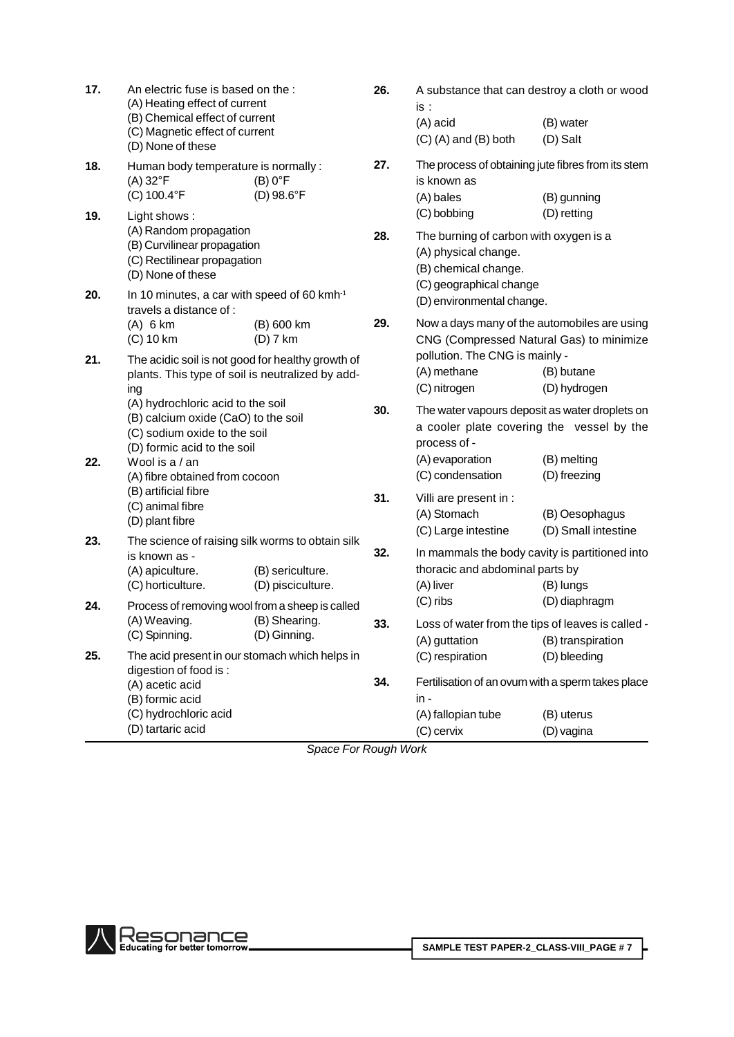| 17. | An electric fuse is based on the :<br>(A) Heating effect of current<br>(B) Chemical effect of current<br>(C) Magnetic effect of current<br>(D) None of these |                                       |     | A substance that can destroy a cloth or wood<br>is:<br>(A) acid<br>$(C)$ (A) and (B) both                                        | (B) water<br>(D) Salt                                 |  |  |
|-----|--------------------------------------------------------------------------------------------------------------------------------------------------------------|---------------------------------------|-----|----------------------------------------------------------------------------------------------------------------------------------|-------------------------------------------------------|--|--|
| 18. | Human body temperature is normally :<br>$(A) 32$ °F<br>(C) 100.4°F                                                                                           | $(B) 0$ °F<br>(D) 98.6°F              | 27. | The process of obtaining jute fibres from its stem<br>is known as<br>(A) bales                                                   | (B) gunning                                           |  |  |
| 19. | Light shows:<br>(A) Random propagation<br>(B) Curvilinear propagation<br>(C) Rectilinear propagation<br>(D) None of these                                    |                                       | 28. | (C) bobbing<br>The burning of carbon with oxygen is a<br>(A) physical change.<br>(B) chemical change.<br>(C) geographical change | (D) retting                                           |  |  |
| 20. | In 10 minutes, a car with speed of 60 kmh <sup>-1</sup><br>travels a distance of :<br>$(A)$ 6 km                                                             | (B) 600 km                            | 29. | (D) environmental change.<br>Now a days many of the automobiles are using                                                        |                                                       |  |  |
| 21. | $(C)$ 10 km<br>The acidic soil is not good for healthy growth of<br>plants. This type of soil is neutralized by add-<br>ing                                  | $(D)$ 7 km                            |     | CNG (Compressed Natural Gas) to minimize<br>pollution. The CNG is mainly -<br>(A) methane<br>(C) nitrogen                        | (B) butane<br>(D) hydrogen                            |  |  |
| 22. | (A) hydrochloric acid to the soil<br>(B) calcium oxide (CaO) to the soil<br>(C) sodium oxide to the soil<br>(D) formic acid to the soil<br>Wool is a / an    |                                       | 30. | The water vapours deposit as water droplets on<br>a cooler plate covering the vessel by the<br>process of -<br>(A) evaporation   | (B) melting                                           |  |  |
|     | (B) artificial fibre<br>(C) animal fibre<br>(D) plant fibre                                                                                                  | (A) fibre obtained from cocoon        |     | (C) condensation<br>Villi are present in :<br>(A) Stomach<br>(C) Large intestine                                                 | (D) freezing<br>(B) Oesophagus<br>(D) Small intestine |  |  |
| 23. | The science of raising silk worms to obtain silk<br>is known as -<br>(A) apiculture.<br>(C) horticulture.                                                    | (B) sericulture.<br>(D) pisciculture. | 32. | In mammals the body cavity is partitioned into<br>thoracic and abdominal parts by<br>(A) liver                                   | (B) lungs                                             |  |  |
| 24. | Process of removing wool from a sheep is called<br>(A) Weaving.<br>(C) Spinning.                                                                             | (B) Shearing.<br>(D) Ginning.         | 33. | $(C)$ ribs<br>Loss of water from the tips of leaves is called -<br>(A) guttation                                                 | (D) diaphragm<br>(B) transpiration                    |  |  |
| 25. | The acid present in our stomach which helps in<br>digestion of food is:<br>(A) acetic acid<br>(B) formic acid<br>(C) hydrochloric acid<br>(D) tartaric acid  |                                       | 34. | (C) respiration<br>Fertilisation of an ovum with a sperm takes place<br>in -<br>(A) fallopian tube<br>(C) cervix                 | (D) bleeding<br>(B) uterus<br>(D) vagina              |  |  |
|     |                                                                                                                                                              | Conno For Dough World                 |     |                                                                                                                                  |                                                       |  |  |

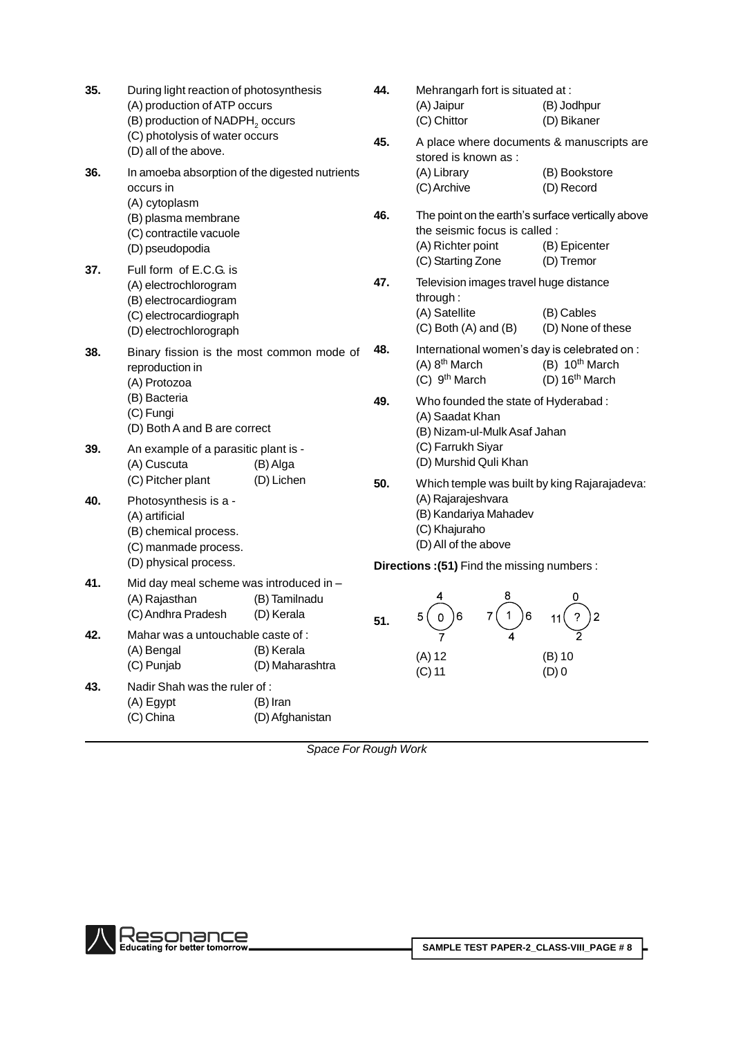| 35. | During light reaction of photosynthesis<br>(A) production of ATP occurs<br>(B) production of NADPH <sub>2</sub> occurs<br>(C) photolysis of water occurs |                               | 44. | Mehrangarh fort is situated at :<br>(A) Jaipur<br>(C) Chittor                                                                | (B) Jodhpur<br>(D) Bikaner                                 |  |
|-----|----------------------------------------------------------------------------------------------------------------------------------------------------------|-------------------------------|-----|------------------------------------------------------------------------------------------------------------------------------|------------------------------------------------------------|--|
| 36. | (D) all of the above.<br>In amoeba absorption of the digested nutrients<br>occurs in<br>(A) cytoplasm                                                    |                               | 45. | A place where documents & manuscripts are<br>stored is known as :<br>(A) Library<br>(C) Archive                              | (B) Bookstore<br>(D) Record                                |  |
|     | (B) plasma membrane<br>(C) contractile vacuole<br>(D) pseudopodia                                                                                        |                               | 46. | The point on the earth's surface vertically above<br>the seismic focus is called :<br>(A) Richter point<br>(C) Starting Zone | (B) Epicenter<br>(D) Tremor                                |  |
| 37. | Full form of E.C.G. is<br>(A) electrochlorogram<br>(B) electrocardiogram<br>(C) electrocardiograph<br>(D) electrochlorograph                             |                               | 47. | Television images travel huge distance<br>through:<br>(A) Satellite<br>$(C)$ Both $(A)$ and $(B)$                            | (B) Cables<br>(D) None of these                            |  |
| 38. | Binary fission is the most common mode of<br>reproduction in<br>(A) Protozoa                                                                             |                               | 48. | International women's day is celebrated on :<br>$(A)$ 8 <sup>th</sup> March<br>(C) 9 <sup>th</sup> March                     | $(B)$ 10 <sup>th</sup> March<br>(D) 16 <sup>th</sup> March |  |
|     | (B) Bacteria<br>(C) Fungi<br>(D) Both A and B are correct                                                                                                |                               | 49. | Who founded the state of Hyderabad:<br>(A) Saadat Khan<br>(B) Nizam-ul-Mulk Asaf Jahan                                       |                                                            |  |
| 39. | An example of a parasitic plant is -<br>(A) Cuscuta<br>(C) Pitcher plant                                                                                 | (B) Alga<br>(D) Lichen        | 50. | (C) Farrukh Siyar<br>(D) Murshid Quli Khan<br>Which temple was built by king Rajarajadeva:                                   |                                                            |  |
| 40. | Photosynthesis is a -<br>(A) artificial<br>(B) chemical process.<br>(C) manmade process.                                                                 |                               |     | (A) Rajarajeshvara<br>(B) Kandariya Mahadev<br>(C) Khajuraho<br>(D) All of the above                                         |                                                            |  |
|     | (D) physical process.                                                                                                                                    |                               |     | Directions: (51) Find the missing numbers:                                                                                   |                                                            |  |
| 41. | Mid day meal scheme was introduced in -<br>(A) Rajasthan<br>(C) Andhra Pradesh                                                                           | (B) Tamilnadu<br>(D) Kerala   | 51. | 8<br>4<br>6<br>6<br>1.<br>5<br>0                                                                                             | 0<br>2                                                     |  |
| 42. | Mahar was a untouchable caste of:<br>(A) Bengal<br>(C) Punjab                                                                                            | (B) Kerala<br>(D) Maharashtra |     | $\overline{7}$<br>4<br>$(A)$ 12<br>$(C)$ 11                                                                                  | 2<br>$(B)$ 10<br>$(D)$ 0                                   |  |
| 43. | Nadir Shah was the ruler of:<br>(A) Egypt<br>(C) China                                                                                                   | (B) Iran<br>(D) Afghanistan   |     |                                                                                                                              |                                                            |  |

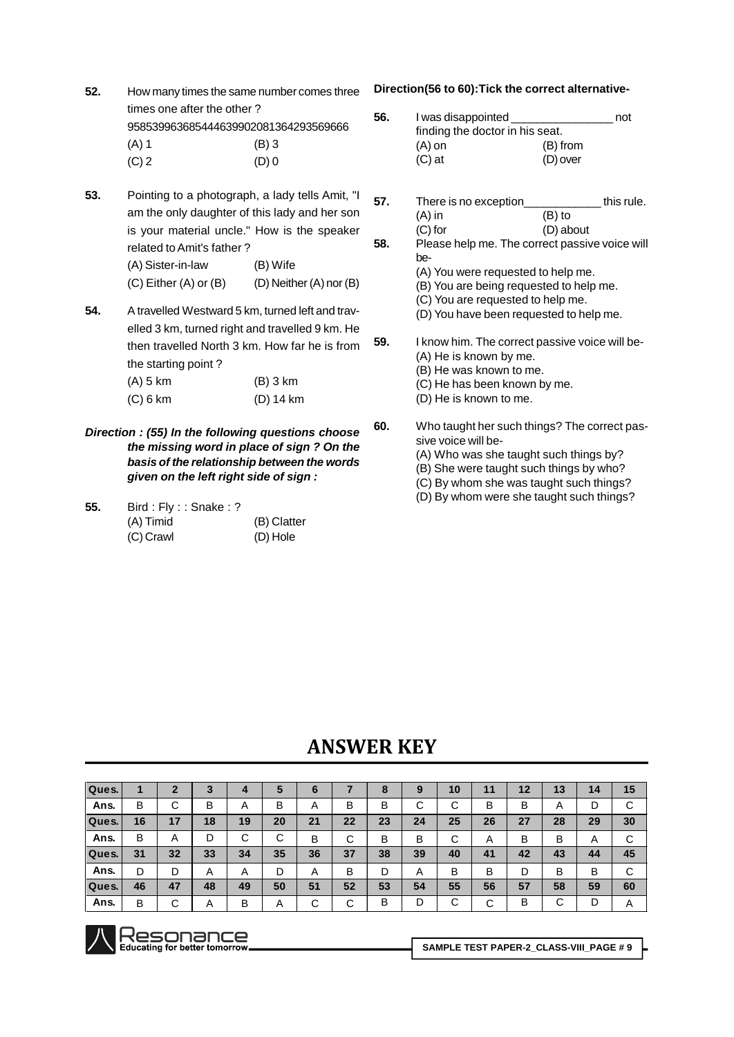**52.** How many times the same number comes three **Direction(56 to 60):Tick the correct alternative** times one after the other ? 958539963685444639902081364293569666

| $(A)$ 1 | $(B)$ 3 |
|---------|---------|
| $\sim$  | $\sim$  |

- $(C) 2$  (D) 0
- **53.** Pointing to a photograph, a lady tells Amit, am the only daughter of this lady and her so is your material uncle." How is the speake related toAmit's father ?

| (A) Sister-in-law     | (B) Wife                |
|-----------------------|-------------------------|
| (C) Either (A) or (B) | (D) Neither (A) nor (B) |

- **54.** A travelled Westward 5 km, turned left and trav elled 3 km, turned right and travelled 9 km. He then travelled North 3 km. How far he is from the starting point ?
	- (A) 5 km (B) 3 km (C) 6 km (D) 14 km

### **Direction : (55) In the following questions choose the missing word in place of sign ? On the basis of the relationship between the words given on the left right side of sign :**

**55.** Bird : Fly : : Snake : ? (A) Timid (B) Clatter (C) Crawl (D) Hole

|    | 56. | I was disappointed _                              | not       |  |
|----|-----|---------------------------------------------------|-----------|--|
|    |     | finding the doctor in his seat.                   |           |  |
|    |     | (A) on                                            | (B) from  |  |
|    |     | $(C)$ at                                          | (D) over  |  |
|    |     |                                                   |           |  |
|    |     |                                                   |           |  |
| "  | 57. | There is no exception__________________this rule. |           |  |
| n  |     | (A) in                                            | $(B)$ to  |  |
| эr |     | $(C)$ for                                         | (D) about |  |
|    | 58. | Please help me. The correct passive voice will    |           |  |
|    |     | be-                                               |           |  |
|    |     | (A) You were requested to help me.                |           |  |
| 3) |     | (B) You are being requested to help me.           |           |  |
|    |     | (C) You are requested to help me.                 |           |  |
| J- |     | (D) You have been requested to help me.           |           |  |
| e  |     |                                                   |           |  |
|    | 59. | I know him. The correct passive voice will be-    |           |  |
| 'n |     | (A) He is known by me.                            |           |  |
|    |     | (B) He was known to me.                           |           |  |
|    |     | (C) He has been known by me.                      |           |  |
|    |     |                                                   |           |  |
|    |     | (D) He is known to me.                            |           |  |
|    | 60. | Who taught her such things? The correct pas-      |           |  |
| ë  |     | sive voice will be-                               |           |  |
| ۱e |     | (A) Who was she taught such things by?            |           |  |
| ls |     |                                                   |           |  |
|    |     | (B) She were taught such things by who?           |           |  |
|    |     | (C) By whom she was taught such things?           |           |  |

(D) By whom were she taught such things?

# **KEY**

| Ques. |    |        |                |        | э      | O              |        | о  |        | 10          | 11     | 12 | 13 | 14 | 15     |
|-------|----|--------|----------------|--------|--------|----------------|--------|----|--------|-------------|--------|----|----|----|--------|
| Ans.  | В  | ~<br>ັ | в              | A      | В      | $\overline{A}$ | В      | В  | ⌒<br>U | $\sim$<br>◡ | В      | В  | A  |    | С      |
| Ques. | 16 | 17     | 18             | 19     | 20     | 21             | 22     | 23 | 24     | 25          | 26     | 27 | 28 | 29 | 30     |
| Ans.  | В  | A      | D              | ⌒<br>◡ | ⌒<br>ັ | в              | ⌒<br>ັ | в  | В      | ⌒<br>ັ      | A      | в  | в  | Α  | ◠<br>U |
| Ques. | 31 | 32     | 33             | 34     | 35     | 36             | 37     | 38 | 39     | 40          | 41     | 42 | 43 | 44 | 45     |
| Ans.  | D  |        | $\overline{A}$ | A      | D      | A              | В      | D  | A      | В           | в      | D  | в  | В  | С      |
| Ques. | 46 | 47     | 48             | 49     | 50     | 51             | 52     | 53 | 54     | 55          | 56     | 57 | 58 | 59 | 60     |
| Ans.  | В  | ⌒<br>ັ | $\overline{A}$ | В      | A      | С              | ⌒<br>ັ | в  | D      | $\sim$<br>◡ | ⌒<br>◡ | B  | ⌒  | D  | A      |



**SAMPLE TEST PAPER-2\_CLASS-VIII\_PAGE #9**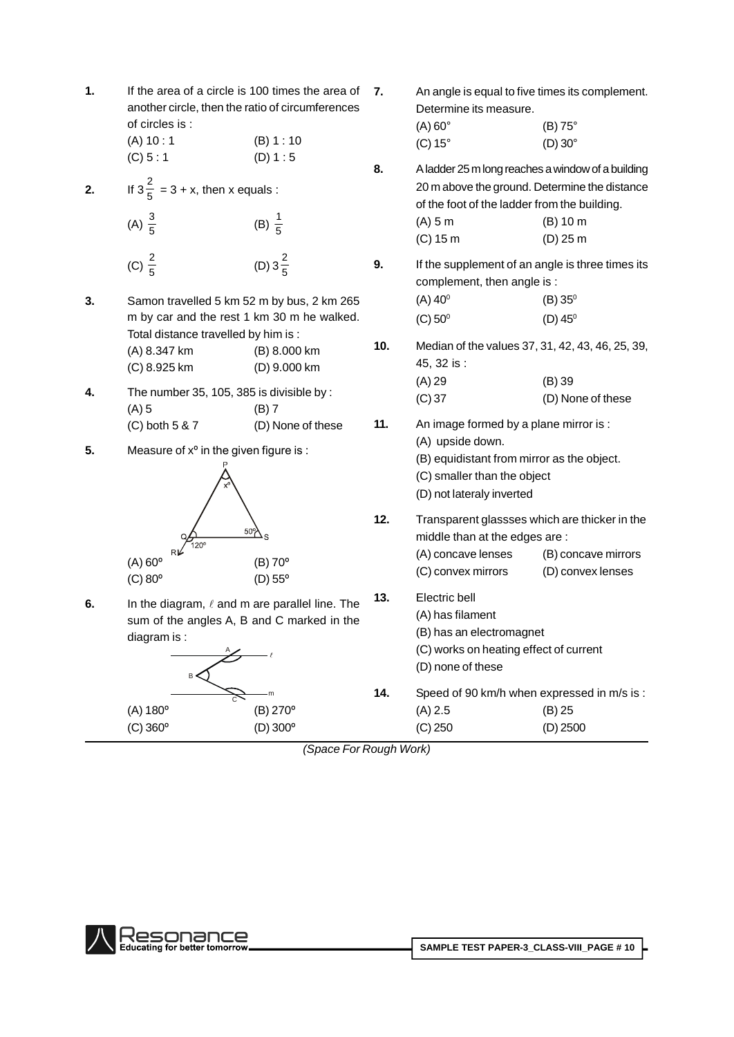**1.** If the area of a circle is 100 times the area of 7. another circle, then the ratio of circumferences of circles is :

- $(A) 10 : 1$  (B) 1 : 10  $(C) 5 : 1$  (D) 1 : 5
- **2.** If  $3\frac{2}{5} = 3 + x$ , then x equals :
	- (A)  $\frac{3}{5}$ (B)  $\frac{1}{5}$
	- (C)  $\frac{2}{5}$ (D)  $3\frac{2}{5}$ 5
- **3.** Samon travelled 5 km 52 m by bus, 2 km 265 m by car and the rest 1 km 30 m he walked. Total distance travelled by him is : (A) 8.347 km (B) 8.000 km **10.** (C) 8.925 km (D) 9.000 km
- **4.** The number 35, 105, 385 is divisible by : (A) 5 (B) 7  $(C)$  both 5 & 7  $(D)$  None of these 11.
- **5.** Measure of  $x^{\circ}$  in the given figure is :



**6.** In the diagram,  $\ell$  and m are parallel line. The **13.** sum of the angles A, B and C marked in the diagram is :



- **7.** An angle is equal to five times its complement.<br>Determine its measure.<br>(A) 60° (B) 75° Determine its measure. (C) <sup>15</sup>° (D) <sup>30</sup>° **8.** Aladder25mlongreaches awindowof a building 20 m above the ground. Determine the distance of the foot of the ladder from the building. (A) 5 m (B) 10 m (C) 15 m (D) 25 m **9.** If the supplement of an angle is three times its complement, then angle is :  $(A)$  40 $^{\circ}$  $^{0}$  (B) 35<sup>0</sup>
	- $(C) 50^{\circ}$  $(D)$  45<sup>0</sup>
	- **10.** Median of the values 37,31, 42, 43, 46, 25, 39, 45, 32 is : (A) 29 (B) 39 (C) 37 (D) None of these
	- **11.** An image formed by a plane mirror is : (A) upside down. (B) equidistant from mirror as the object.
		- (C) smaller than the object
		- (D) not lateraly inverted
- **12.** Transparent glassses which are thicker in the middle than at the edges are : (A) concave lenses (B) concave mirrors
	- (C) convex mirrors (D) convex lenses
	- **13.** Electric bell
		- (A) has filament
		- (B) has an electromagnet
		- (C) works on heating effect of current
		- (D) none of these
- **14.** Speed of 90 km/h when expressed in m/s is : (A) 2.5 (B) 25 (C) 250 (D) 2500

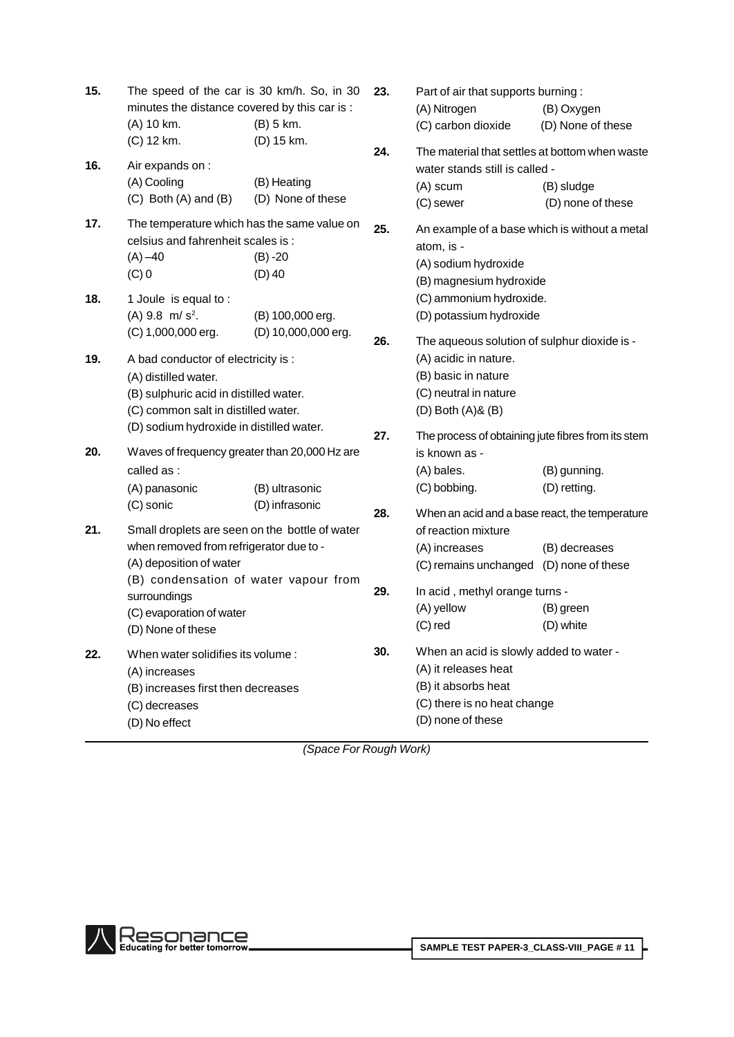| 15. | The speed of the car is 30 km/h. So, in 30     |                     | 23. | Part of air that supports burning:                 |                   |
|-----|------------------------------------------------|---------------------|-----|----------------------------------------------------|-------------------|
|     | minutes the distance covered by this car is :  |                     |     | (A) Nitrogen                                       | (B) Oxygen        |
|     | (A) 10 km.                                     | (B) 5 km.           |     | (C) carbon dioxide                                 | (D) None of these |
|     | (C) 12 km.                                     | (D) 15 km.          | 24. | The material that settles at bottom when waste     |                   |
| 16. | Air expands on :                               |                     |     | water stands still is called -                     |                   |
|     | (A) Cooling                                    | (B) Heating         |     | (A) scum                                           | (B) sludge        |
|     | $(C)$ Both $(A)$ and $(B)$                     | (D) None of these   |     | (C) sewer                                          | (D) none of these |
| 17. | The temperature which has the same value on    |                     | 25. | An example of a base which is without a metal      |                   |
|     | celsius and fahrenheit scales is:              |                     |     | atom, is -                                         |                   |
|     | $(A) - 40$                                     | $(B) - 20$          |     | (A) sodium hydroxide                               |                   |
|     | $(C)$ 0                                        | $(D)$ 40            |     | (B) magnesium hydroxide                            |                   |
| 18. | 1 Joule is equal to:                           |                     |     | (C) ammonium hydroxide.                            |                   |
|     | $(A)$ 9.8 m/s <sup>2</sup> .                   | (B) 100,000 erg.    |     | (D) potassium hydroxide                            |                   |
|     | (C) 1,000,000 erg.                             | (D) 10,000,000 erg. | 26. | The aqueous solution of sulphur dioxide is -       |                   |
| 19. | A bad conductor of electricity is :            |                     |     | (A) acidic in nature.                              |                   |
|     | (A) distilled water.                           |                     |     | (B) basic in nature                                |                   |
|     | (B) sulphuric acid in distilled water.         |                     |     | (C) neutral in nature                              |                   |
|     | (C) common salt in distilled water.            |                     |     | $(D)$ Both $(A)$ & $(B)$                           |                   |
|     | (D) sodium hydroxide in distilled water.       |                     | 27. | The process of obtaining jute fibres from its stem |                   |
| 20. | Waves of frequency greater than 20,000 Hz are  |                     |     | is known as -                                      |                   |
|     | called as :                                    |                     |     | (A) bales.                                         | (B) gunning.      |
|     | (A) panasonic                                  | (B) ultrasonic      |     | (C) bobbing.                                       | (D) retting.      |
|     | (C) sonic                                      | (D) infrasonic      | 28. | When an acid and a base react, the temperature     |                   |
| 21. | Small droplets are seen on the bottle of water |                     |     | of reaction mixture                                |                   |
|     | when removed from refrigerator due to -        |                     |     | (A) increases                                      | (B) decreases     |
|     | (A) deposition of water                        |                     |     | (C) remains unchanged (D) none of these            |                   |
|     | (B) condensation of water vapour from          |                     | 29. | In acid, methyl orange turns -                     |                   |
|     | surroundings<br>(C) evaporation of water       |                     |     | (A) yellow                                         | (B) green         |
|     | (D) None of these                              |                     |     | $(C)$ red                                          | (D) white         |
| 22. | When water solidifies its volume:              |                     | 30. | When an acid is slowly added to water -            |                   |
|     | (A) increases                                  |                     |     | (A) it releases heat                               |                   |
|     | (B) increases first then decreases             |                     |     | (B) it absorbs heat                                |                   |
|     | (C) decreases                                  |                     |     | (C) there is no heat change                        |                   |
|     | (D) No effect                                  |                     |     | (D) none of these                                  |                   |
|     |                                                |                     |     |                                                    |                   |

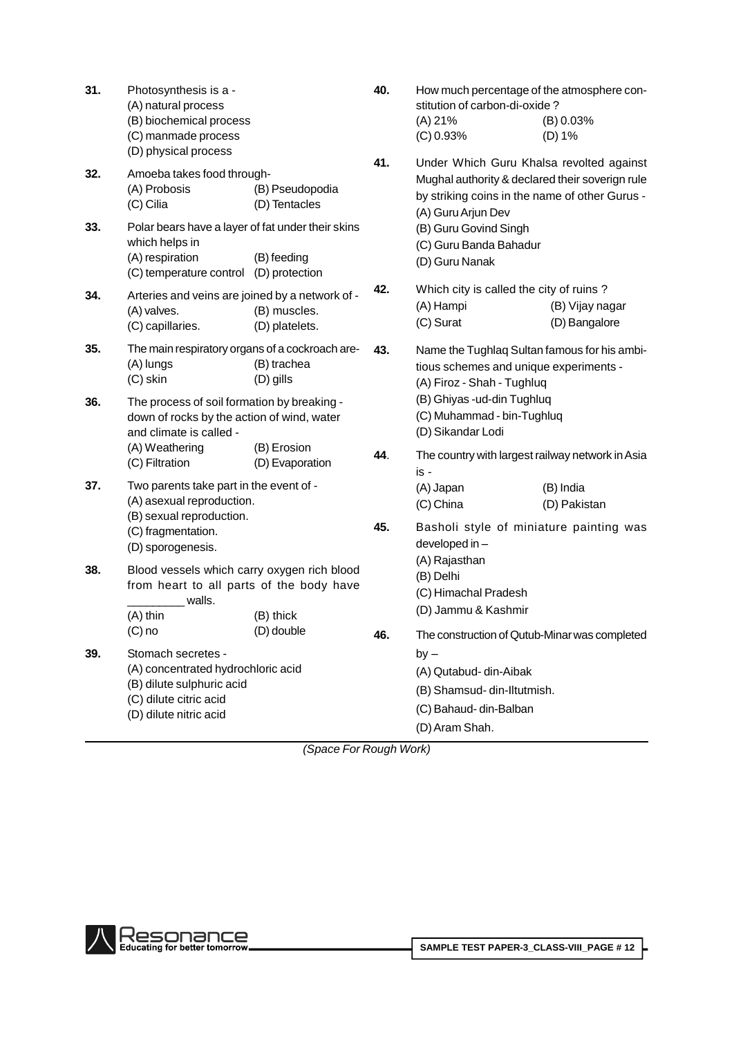|                                                                                                                                                                                                                                |                                  |                                                                                                                                                                                                                                                                                                                                                                                                    | (A) 21%<br>(C) 0.93%                                                                                                 | (B) 0.03%<br>(D) 1%                                                                                                                           |  |
|--------------------------------------------------------------------------------------------------------------------------------------------------------------------------------------------------------------------------------|----------------------------------|----------------------------------------------------------------------------------------------------------------------------------------------------------------------------------------------------------------------------------------------------------------------------------------------------------------------------------------------------------------------------------------------------|----------------------------------------------------------------------------------------------------------------------|-----------------------------------------------------------------------------------------------------------------------------------------------|--|
| (D) physical process<br>Amoeba takes food through-<br>(A) Probosis<br>(C) Cilia                                                                                                                                                | (B) Pseudopodia<br>(D) Tentacles | 41.                                                                                                                                                                                                                                                                                                                                                                                                | (A) Guru Arjun Dev                                                                                                   | Under Which Guru Khalsa revolted against<br>Mughal authority & declared their soverign rule<br>by striking coins in the name of other Gurus - |  |
| which helps in<br>(A) respiration                                                                                                                                                                                              | (B) feeding                      |                                                                                                                                                                                                                                                                                                                                                                                                    | (B) Guru Govind Singh<br>(C) Guru Banda Bahadur<br>(D) Guru Nanak                                                    |                                                                                                                                               |  |
| (A) valves.<br>(C) capillaries.                                                                                                                                                                                                | (B) muscles.<br>(D) platelets.   | 42.                                                                                                                                                                                                                                                                                                                                                                                                | Which city is called the city of ruins?<br>(A) Hampi<br>(C) Surat                                                    | (B) Vijay nagar<br>(D) Bangalore                                                                                                              |  |
| The main respiratory organs of a cockroach are-<br>(A) lungs<br>(B) trachea<br>$(C)$ skin<br>(D) gills<br>The process of soil formation by breaking -<br>down of rocks by the action of wind, water<br>and climate is called - |                                  | 43.                                                                                                                                                                                                                                                                                                                                                                                                | Name the Tughlaq Sultan famous for his ambi-<br>tious schemes and unique experiments -<br>(A) Firoz - Shah - Tughluq |                                                                                                                                               |  |
|                                                                                                                                                                                                                                |                                  |                                                                                                                                                                                                                                                                                                                                                                                                    | (B) Ghiyas -ud-din Tughluq<br>(C) Muhammad - bin-Tughluq<br>(D) Sikandar Lodi                                        |                                                                                                                                               |  |
| (C) Filtration                                                                                                                                                                                                                 | (D) Evaporation                  | 44.                                                                                                                                                                                                                                                                                                                                                                                                | is -                                                                                                                 | The country with largest railway network in Asia                                                                                              |  |
|                                                                                                                                                                                                                                |                                  |                                                                                                                                                                                                                                                                                                                                                                                                    | (A) Japan<br>(C) China                                                                                               | (B) India<br>(D) Pakistan                                                                                                                     |  |
| (C) fragmentation.<br>(D) sporogenesis.                                                                                                                                                                                        |                                  | 45.                                                                                                                                                                                                                                                                                                                                                                                                | developed in -                                                                                                       | Basholi style of miniature painting was                                                                                                       |  |
| walls.<br>(A) thin                                                                                                                                                                                                             | (B) thick                        |                                                                                                                                                                                                                                                                                                                                                                                                    | (B) Delhi<br>(C) Himachal Pradesh<br>(D) Jammu & Kashmir                                                             |                                                                                                                                               |  |
| $(C)$ no                                                                                                                                                                                                                       | (D) double                       | 46.                                                                                                                                                                                                                                                                                                                                                                                                |                                                                                                                      | The construction of Qutub-Minar was completed                                                                                                 |  |
| Stomach secretes -<br>(B) dilute sulphuric acid<br>(C) dilute citric acid<br>(D) dilute nitric acid                                                                                                                            |                                  |                                                                                                                                                                                                                                                                                                                                                                                                    | by –<br>(A) Qutabud- din-Aibak<br>(B) Shamsud-din-Iltutmish.<br>(C) Bahaud- din-Balban<br>(D) Aram Shah.             |                                                                                                                                               |  |
|                                                                                                                                                                                                                                | (A) Weathering                   | Polar bears have a layer of fat under their skins<br>(C) temperature control (D) protection<br>Arteries and veins are joined by a network of -<br>(B) Erosion<br>Two parents take part in the event of -<br>(A) asexual reproduction.<br>(B) sexual reproduction.<br>Blood vessels which carry oxygen rich blood<br>from heart to all parts of the body have<br>(A) concentrated hydrochloric acid |                                                                                                                      | (A) Rajasthan<br>(Snaco For Dough Work)                                                                                                       |  |

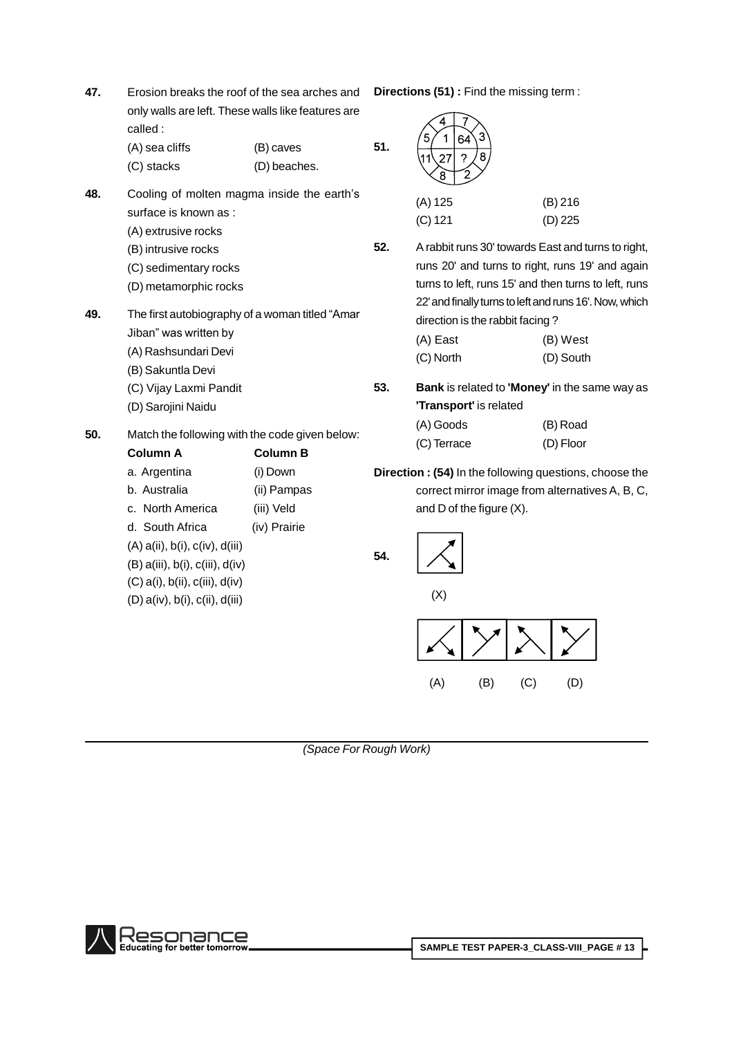| 47. | Erosion breaks the roof of the sea arches and<br>only walls are left. These walls like features are<br>called:                                                        |                                                                          | <b>Direction</b> |
|-----|-----------------------------------------------------------------------------------------------------------------------------------------------------------------------|--------------------------------------------------------------------------|------------------|
|     | (A) sea cliffs<br>(C) stacks                                                                                                                                          | (B) caves<br>(D) beaches.                                                | 51.              |
| 48. | Cooling of molten magma inside the earth's<br>surface is known as:<br>(A) extrusive rocks<br>(B) intrusive rocks<br>(C) sedimentary rocks<br>(D) metamorphic rocks    |                                                                          | 52.              |
| 49. | The first autobiography of a woman titled "Amar<br>Jiban" was written by<br>(A) Rashsundari Devi<br>(B) Sakuntla Devi<br>(C) Vijay Laxmi Pandit<br>(D) Sarojini Naidu |                                                                          | 53.              |
| 50. | Match the following with the code given below:<br>Column A<br>a. Argentina<br>b. Australia<br>c. North America<br>d. South Africa<br>$(A)$ a(ii), b(i), c(iv), d(iii) | <b>Column B</b><br>(i) Down<br>(ii) Pampas<br>(iii) Veld<br>(iv) Prairie | <b>Directio</b>  |
|     | $(B)$ a(iii), b(i), c(iii), d(iv)<br>$(C)$ a(i), b(ii), c(iii), d(iv)                                                                                                 |                                                                          | 54.              |

**Crions (51) :** Find the missing term :

| 8<br>я    |           |
|-----------|-----------|
| (A) 125   | (B) 216   |
| $(C)$ 121 | $(D)$ 225 |
|           |           |

**52.** A rabbit runs 30' towards East and turns to right, runs 20' and turns to right, runs 19' and again turns to left, runs 15' and then turns to left, runs 22' and finally turns to left and runs 16'. Now, which direction is the rabbit facing ?

| (A) East  | (B) West  |
|-----------|-----------|
| (C) North | (D) South |

**53. Bank** is related to **'Money'** in the same way as **'Transport'** is related

| (A) Goods   | (B) Road  |
|-------------|-----------|
| (C) Terrace | (D) Floor |

**Crion : (54)** In the following questions, choose the correct mirror image from alternatives A, B, C, and D of the figure (X).



(Space For Rough Work)



(D) a(iv), b(i), c(ii), d(iii)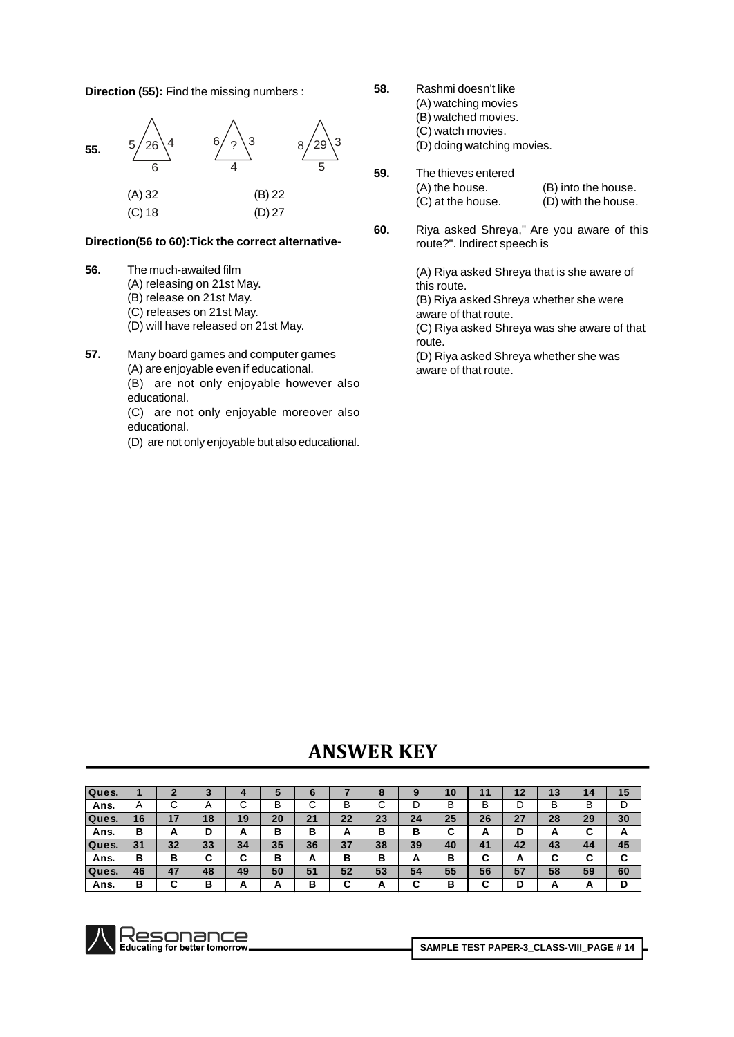**Direction (55):** Find the missing numbers :



### **Direction(56 to 60):Tick the correct alternative-**

- **56.** The much-awaited film (A) releasing on 21st May. (B) release on 21st May. (C) releases on 21st May.
	- (D) will have released on 21st May.
- **57.** Many board games and computer games (A) are enjoyable even if educational.

(B) are not only enjoyable however also educational.

- (C) are not only enjoyable moreover also educational.
- (D) are not only enjoyable but also educational.
- 
- **58.** Rashmi doesn't like (A) watching movies (B) watched movies.
	- (C) watch movies.

(D) doing watching movies.

- **59.** The thieves entered (A) the house. (B) into the house. (C) at the house. (D) with the house.
- **60.** Riya asked Shreya," Are you aware of this route?". Indirect speech is

(A) Riya asked Shreya that is she aware of this route. (B) Riya asked Shreya whether she were aware of that route.

(C) Riya asked Shreya was she aware of that route.

(D) Riya asked Shreya whether she was aware of that route.

# **KEY**

| Ques. |                |          |            |        |          | о        |    |    |        | 10     | 11     | 12     | ао<br>נ ו | 14     | 15 |
|-------|----------------|----------|------------|--------|----------|----------|----|----|--------|--------|--------|--------|-----------|--------|----|
| Ans.  | $\overline{A}$ |          | $\sqrt{ }$ | ັ      | В        | U        | В  | ⌒  | D      | в      | В      | ◡      | B         | B      | D  |
| Ques. | 16             |          | 18         | 19     | 20       | 21       | 22 | 23 | 24     | 25     | 26     | 27     | 28        | 29     | 30 |
| Ans.  | в              | <u>r</u> |            | А      | В        | в        | A  | в  | в      | ~<br>ື | A      | D      | <u>r</u>  | ∼<br>ັ | A  |
| Ques. | 31             | 32       | 33         | 34     | 35       | 36       | 37 | 38 | 39     | 40     | 41     | 42     | 43        | 44     | 45 |
| Ans.  | в              | в        | ັ          | ~<br>ີ | В        | <u>r</u> | в  | в  | A      | в      | ∼<br>u | A      |           | ∼<br>ື | C  |
| Ques. | 46             | 47       | 48         | 49     | 50       | 51       | 52 | 53 | 54     | 55     | 56     | 57     | 58        | 59     | 60 |
| Ans.  | в              | ~        | Р<br>D     | A      | <u>r</u> | в        | ⌒  | -  | ~<br>u | в      | ∼<br>u | в<br>ш | <b>n</b>  | A      | D  |

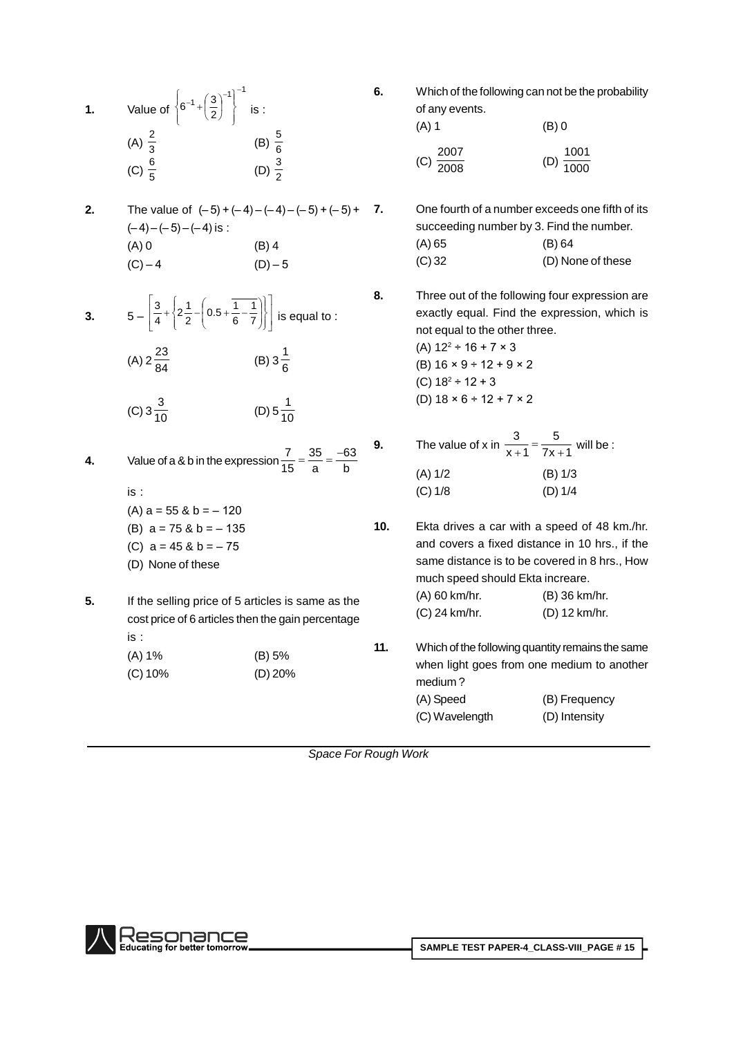| $\ddot{\mathbf{1}}$ . | Value of $\left\{6^{-1} + \left(\frac{3}{2}\right)^{-1}\right\}^{-1}$ is :<br>(A) $\frac{2}{3}$ (B) $\frac{5}{6}$<br>(C) $\frac{6}{5}$                                               | (D) $\frac{3}{2}$                         | 6.  | Which of the following can not be the probability<br>of any events.<br>$(A)$ 1<br>(C) $\frac{2007}{2008}$                                                                                                                                                                        | $(B)$ 0<br>(D) $\frac{1001}{1000}$ |
|-----------------------|--------------------------------------------------------------------------------------------------------------------------------------------------------------------------------------|-------------------------------------------|-----|----------------------------------------------------------------------------------------------------------------------------------------------------------------------------------------------------------------------------------------------------------------------------------|------------------------------------|
| 2.                    | The value of $(-5)+(-4)-(-4)-(-5)+(-5)$ +<br>$(-4)-(-5)-(-4)$ is :<br>$(A)$ 0<br>$(C) - 4$                                                                                           | $(B)$ 4<br>$(D) - 5$                      | 7.  | One fourth of a number exceeds one fifth of its<br>succeeding number by 3. Find the number.<br>(A) 65<br>$(C)$ 32                                                                                                                                                                | (B) 64<br>(D) None of these        |
| 3.                    | $5 - \left  \frac{3}{4} + \left  2 \frac{1}{2} - \left( 0.5 + \frac{1}{6} - \frac{1}{7} \right) \right  \right $ is equal to :<br>(A) $2\frac{23}{84}$<br>(C) $3\frac{3}{10}$        | (B) $3\frac{1}{6}$<br>(D) $5\frac{1}{10}$ | 8.  | Three out of the following four expression are<br>exactly equal. Find the expression, which is<br>not equal to the other three.<br>(A) $12^2 \div 16 + 7 \times 3$<br>(B) $16 \times 9 \div 12 + 9 \times 2$<br>(C) $18^2 \div 12 + 3$<br>(D) $18 \times 6 \div 12 + 7 \times 2$ |                                    |
| 4.                    | Value of a & b in the expression $\frac{7}{15} = \frac{35}{9} = \frac{-63}{b}$<br>is:<br>$(A)$ a = 55 & b = -120                                                                     |                                           | 9.  | The value of x in $\frac{3}{x+1} = \frac{5}{7x+1}$ will be :<br>(A) 1/2<br>(C) 1/8                                                                                                                                                                                               | (B) 1/3<br>(D) 1/4                 |
| 5.                    | (B) $a = 75$ & $b = -135$<br>(C) $a = 45$ & $b = -75$<br>(D) None of these<br>If the selling price of 5 articles is same as the<br>cost price of 6 articles then the gain percentage |                                           | 10. | Ekta drives a car with a speed of 48 km./hr.<br>and covers a fixed distance in 10 hrs., if the<br>same distance is to be covered in 8 hrs., How<br>much speed should Ekta increare.<br>(A) 60 km/hr.<br>(C) 24 km/hr.                                                            | (B) 36 km/hr.<br>(D) 12 km/hr.     |
|                       | is:<br>(A) 1%<br>$(C)$ 10%                                                                                                                                                           | (B) 5%<br>(D) 20%                         | 11. | Which of the following quantity remains the same<br>when light goes from one medium to another<br>medium?<br>(A) Speed<br>(C) Wavelength                                                                                                                                         | (B) Frequency<br>(D) Intensity     |

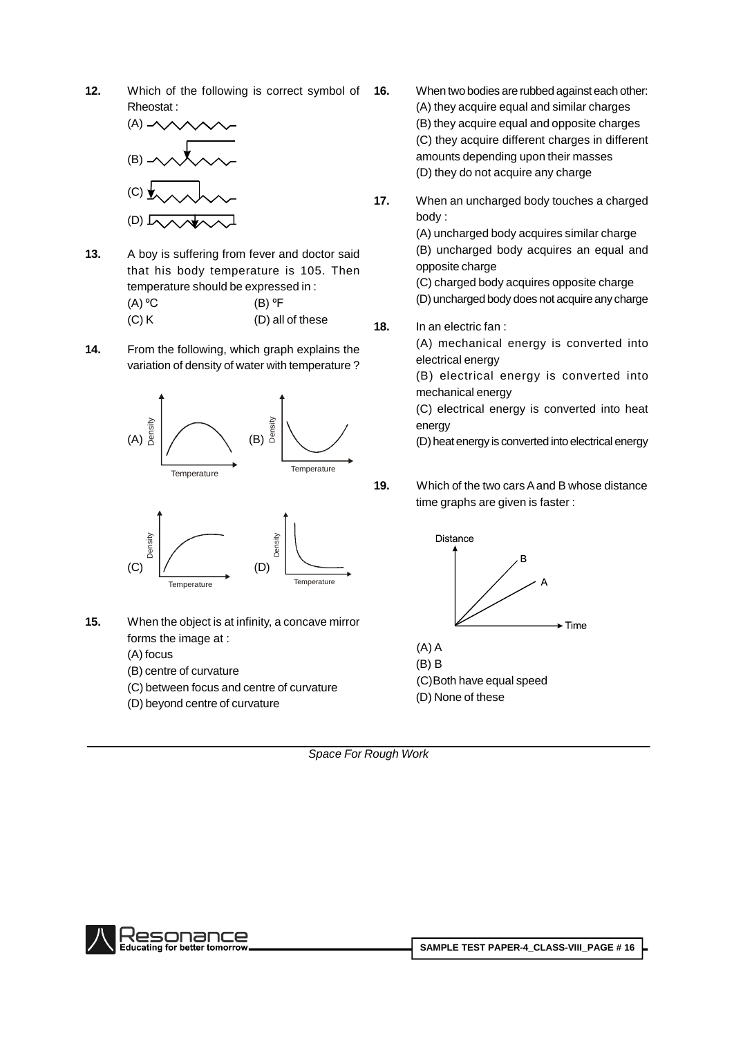**12.** Which of the following is correct symbol of **16.** Rheostat :



- **13.** A boy is suffering from fever and doctor said that his body temperature is 105. Then temperature should be expressed in : that his body temperature is 105. T<br>temperature should be expressed in :<br>(A) °C (B) °F  $(C) K$  (D) all of these  $18.$
- **14.** From the following, which graph explains the variation of density of water with temperature ?





- **15.** When the object is at infinity, a concave mirror forms the image at :
	- (A) focus
	- (B) centre of curvature
	- (C) between focus and centre of curvature
	- (D) beyond centre of curvature
- **16.** When two bodies are rubbed against each other: (A) they acquire equal and similar charges (B) they acquire equal and opposite charges (C) they acquire different charges in different amounts depending upon their masses (D) they do not acquire any charge
- **17.** When an uncharged body touches a charged body :

(A) uncharged body acquires similar charge (B) uncharged body acquires an equal and opposite charge

(C) charged body acquires opposite charge

- (D) uncharged body does not acquire any charge
- **18.** In an electric fan :

(A) mechanical energy is converted into electrical energy

(B) electrical energy is converted into mechanical energy

(C) electrical energy is converted into heat energy

(D) heat energy is converted into electrical energy

**19.** Which of the two carsAand B whose distance time graphs are given is faster :



(A) A (B) B (C)Both have equal speed (D) None of these

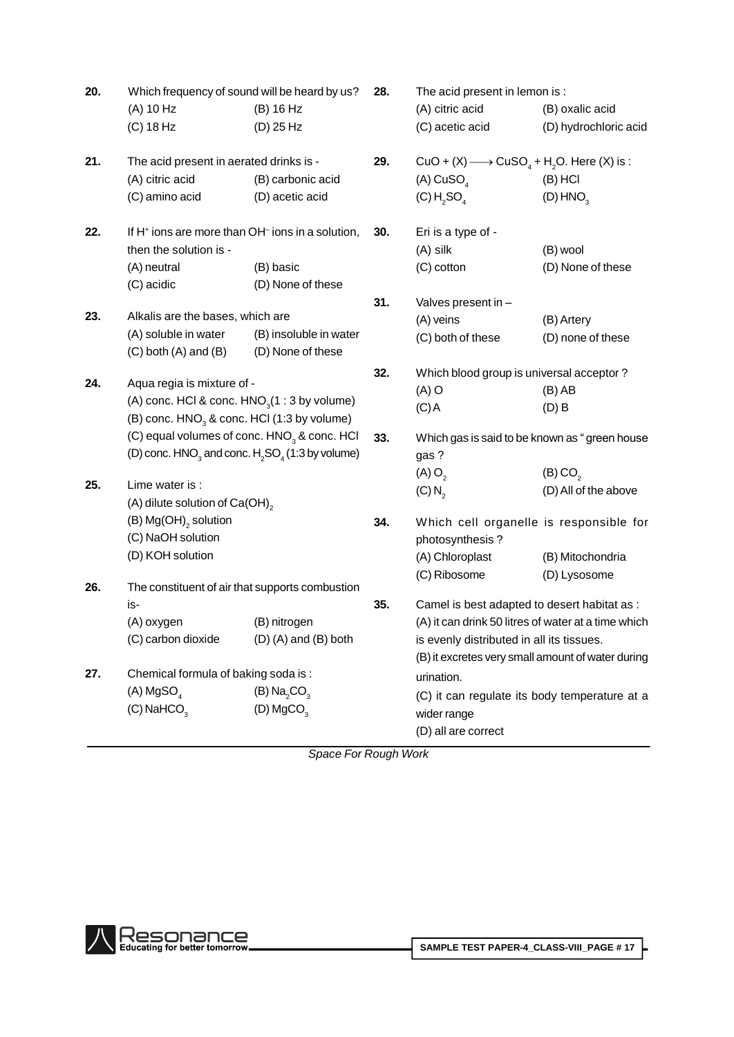| 20. | Which frequency of sound will be heard by us?<br>(A) 10 Hz<br>$(C)$ 18 Hz                                                                                                            | (B) 16 Hz<br>(D) 25 Hz                               | 28.        | The acid present in lemon is :<br>(A) citric acid<br>(C) acetic acid                                                                                                                                  | (B) oxalic acid<br>(D) hydrochloric acid                 |
|-----|--------------------------------------------------------------------------------------------------------------------------------------------------------------------------------------|------------------------------------------------------|------------|-------------------------------------------------------------------------------------------------------------------------------------------------------------------------------------------------------|----------------------------------------------------------|
| 21. | The acid present in aerated drinks is -<br>(A) citric acid<br>(C) amino acid                                                                                                         | (B) carbonic acid<br>(D) acetic acid                 | 29.        | CuO + (X) $\longrightarrow$ CuSO <sub>4</sub> + H <sub>2</sub> O. Here (X) is :<br>(A) $CuSO4$<br>(C) H <sub>2</sub> SO <sub>4</sub>                                                                  | $(B)$ HCI<br>(D) HNO <sub>3</sub>                        |
| 22. | If H <sup>+</sup> ions are more than OH <sup>-</sup> ions in a solution,<br>then the solution is -<br>(A) neutral<br>(C) acidic                                                      | (B) basic<br>(D) None of these                       | 30.        | Eri is a type of -<br>(A) silk<br>(C) cotton                                                                                                                                                          | (B) wool<br>(D) None of these                            |
| 23. | Alkalis are the bases, which are<br>(A) soluble in water<br>$(C)$ both $(A)$ and $(B)$                                                                                               | (B) insoluble in water<br>(D) None of these          | 31.        | Valves present in -<br>(A) veins<br>(C) both of these                                                                                                                                                 | (B) Artery<br>(D) none of these                          |
| 24. | Aqua regia is mixture of -<br>(A) conc. HCl & conc. $HNO3(1:3 by volume)$<br>(B) conc. $HNO3$ & conc. HCl (1:3 by volume)<br>(C) equal volumes of conc. HNO <sub>3</sub> & conc. HCI |                                                      | 32.<br>33. | Which blood group is universal acceptor?<br>$(A)$ O<br>$(C)$ A                                                                                                                                        | $(B)$ AB<br>$(D)$ B                                      |
| 25. | (D) conc. $HNO3$ and conc. $H2SO4$ (1:3 by volume)<br>Lime water is:                                                                                                                 |                                                      |            | Which gas is said to be known as "green house<br>gas?<br>$(A)$ O <sub>2</sub>                                                                                                                         | (B) CO <sub>2</sub>                                      |
| 26. | (A) dilute solution of $Ca(OH)_{2}$<br>(B) $Mg(OH)$ <sub>2</sub> solution<br>(C) NaOH solution<br>(D) KOH solution<br>The constituent of air that supports combustion                |                                                      | 34.        | $(C) N_2$<br>Which cell organelle is responsible for<br>photosynthesis?<br>(A) Chloroplast<br>(C) Ribosome                                                                                            | (D) All of the above<br>(B) Mitochondria<br>(D) Lysosome |
|     | is-<br>(A) oxygen<br>(C) carbon dioxide                                                                                                                                              | (B) nitrogen<br>$(D)$ (A) and (B) both               | 35.        | Camel is best adapted to desert habitat as :<br>(A) it can drink 50 litres of water at a time which<br>is evenly distributed in all its tissues.<br>(B) it excretes very small amount of water during |                                                          |
| 27. | Chemical formula of baking soda is:<br>$(A)$ MgSO <sub>4</sub><br>$(C)$ NaHCO <sub>3</sub>                                                                                           | $(B)$ Na <sub>2</sub> CO <sub>3</sub><br>(D) $MgCO3$ |            | urination.<br>(C) it can regulate its body temperature at a<br>wider range<br>(D) all are correct                                                                                                     |                                                          |

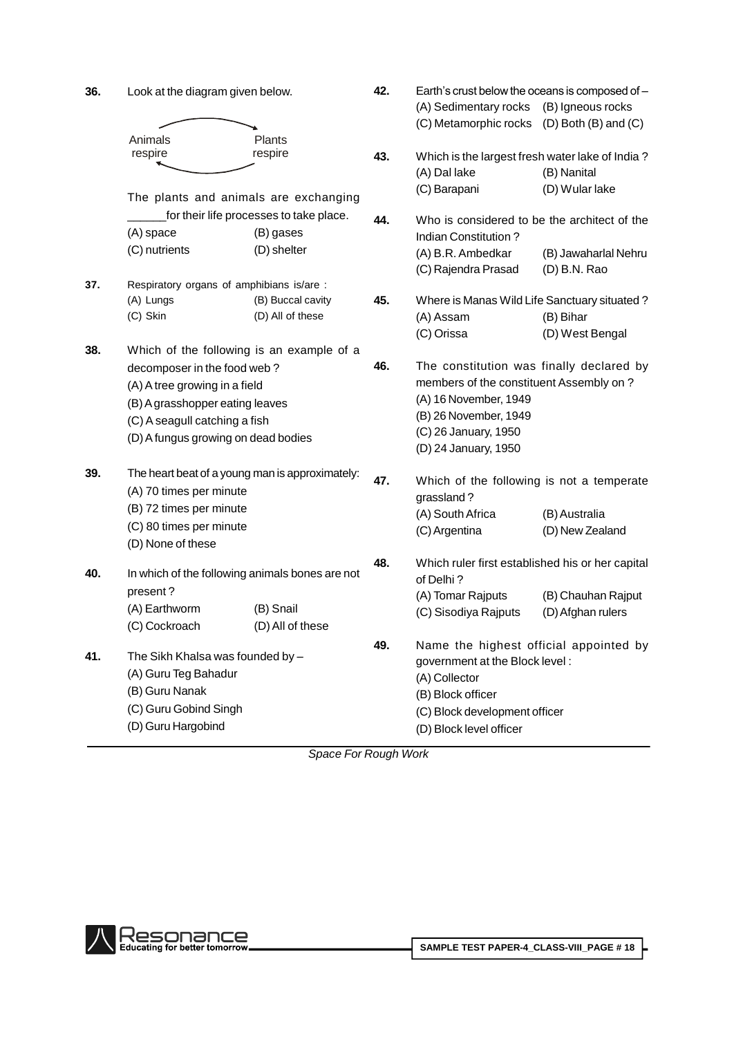| 36. | Look at the diagram given below.       |                                                 | 42. |                                                  | Earth's crust below the oceans is composed of - |  |  |
|-----|----------------------------------------|-------------------------------------------------|-----|--------------------------------------------------|-------------------------------------------------|--|--|
|     |                                        |                                                 |     | (A) Sedimentary rocks                            | (B) Igneous rocks                               |  |  |
|     |                                        |                                                 |     | (C) Metamorphic rocks (D) Both (B) and (C)       |                                                 |  |  |
|     | Animals<br>respire                     | Plants<br>respire                               |     | Which is the largest fresh water lake of India?  |                                                 |  |  |
|     |                                        |                                                 | 43. |                                                  |                                                 |  |  |
|     |                                        |                                                 |     | (A) Dal lake                                     | (B) Nanital<br>(D) Wular lake                   |  |  |
|     |                                        | The plants and animals are exchanging           |     | (C) Barapani                                     |                                                 |  |  |
|     |                                        | for their life processes to take place.         | 44. | Who is considered to be the architect of the     |                                                 |  |  |
|     | (A) space                              | (B) gases                                       |     | Indian Constitution?                             |                                                 |  |  |
|     | (C) nutrients                          | (D) shelter                                     |     | (A) B.R. Ambedkar                                | (B) Jawaharlal Nehru                            |  |  |
|     |                                        |                                                 |     | (C) Rajendra Prasad                              | $(D)$ B.N. Rao                                  |  |  |
| 37. |                                        | Respiratory organs of amphibians is/are :       |     |                                                  |                                                 |  |  |
|     | (A) Lungs                              | (B) Buccal cavity                               | 45. | Where is Manas Wild Life Sanctuary situated?     |                                                 |  |  |
|     | (C) Skin                               | (D) All of these                                |     | (A) Assam                                        | (B) Bihar                                       |  |  |
|     |                                        |                                                 |     | (C) Orissa                                       | (D) West Bengal                                 |  |  |
| 38. |                                        | Which of the following is an example of a       |     |                                                  |                                                 |  |  |
|     | decomposer in the food web?            |                                                 | 46. | The constitution was finally declared by         |                                                 |  |  |
|     | (A) A tree growing in a field          |                                                 |     | members of the constituent Assembly on?          |                                                 |  |  |
|     | (B) A grasshopper eating leaves        |                                                 |     | (A) 16 November, 1949                            |                                                 |  |  |
|     | (C) A seagull catching a fish          |                                                 |     | (B) 26 November, 1949                            |                                                 |  |  |
|     | (D) A fungus growing on dead bodies    |                                                 |     | (C) 26 January, 1950                             |                                                 |  |  |
|     |                                        |                                                 |     | (D) 24 January, 1950                             |                                                 |  |  |
| 39. |                                        | The heart beat of a young man is approximately: | 47. | Which of the following is not a temperate        |                                                 |  |  |
|     | (A) 70 times per minute                |                                                 |     | grassland?                                       |                                                 |  |  |
|     | (B) 72 times per minute                |                                                 |     | (A) South Africa                                 | (B) Australia                                   |  |  |
|     | (C) 80 times per minute                |                                                 |     | (C) Argentina                                    | (D) New Zealand                                 |  |  |
|     | (D) None of these                      |                                                 |     |                                                  |                                                 |  |  |
|     |                                        |                                                 | 48. | Which ruler first established his or her capital |                                                 |  |  |
| 40. |                                        | In which of the following animals bones are not |     | of Delhi?                                        |                                                 |  |  |
|     | present?                               |                                                 |     | (A) Tomar Rajputs                                | (B) Chauhan Rajput                              |  |  |
|     | (A) Earthworm                          | (B) Snail                                       |     | (C) Sisodiya Rajputs                             | (D) Afghan rulers                               |  |  |
|     | (C) Cockroach                          | (D) All of these                                |     |                                                  |                                                 |  |  |
|     | The Sikh Khalsa was founded by -       |                                                 | 49. | Name the highest official appointed by           |                                                 |  |  |
| 41. |                                        |                                                 |     | government at the Block level:                   |                                                 |  |  |
|     | (A) Guru Teg Bahadur<br>(B) Guru Nanak |                                                 |     | (A) Collector                                    |                                                 |  |  |
|     | (C) Guru Gobind Singh                  |                                                 |     | (B) Block officer                                |                                                 |  |  |
|     |                                        |                                                 |     | (C) Block development officer                    |                                                 |  |  |
|     | (D) Guru Hargobind                     |                                                 |     | (D) Block level officer                          |                                                 |  |  |